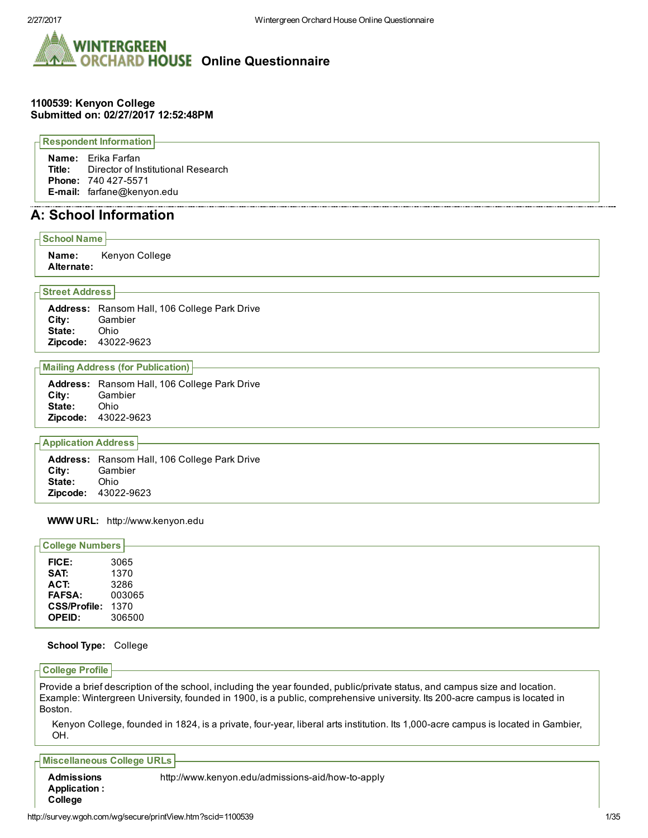

#### 1100539: Kenyon College Submitted on: 02/27/2017 12:52:48PM

Respondent Information

Name: Erika Farfan Title: Director of Institutional Research Phone: 740 427-5571 E-mail: farfane@kenyon.edu

# A: School Information

#### School Name

Name: Kenyon College Alternate:

#### Street Address

Address: Ransom Hall, 106 College Park Drive City: Gambier<br>State: Ohio State: Ohio<br>Zipcode: 43022-9623 Zipcode:

#### Mailing Address (for Publication)

Address: Ransom Hall, 106 College Park Drive City: Gambier State: Ohio **Zipcode: 43022-9623** 

## Application Address

Address: Ransom Hall, 106 College Park Drive City: Gambier State: Ohio Zipcode: 43022-9623

#### WWW URL: http://www.kenyon.edu

| <b>College Numbers</b> |        |  |  |
|------------------------|--------|--|--|
| FICE:                  | 3065   |  |  |
| SAT:                   | 1370   |  |  |
| ACT:                   | 3286   |  |  |
| <b>FAFSA:</b>          | 003065 |  |  |
| CSS/Profile: 1370      |        |  |  |
| <b>OPEID:</b>          | 306500 |  |  |

#### School Type: College

### College Profile

Provide a brief description of the school, including the year founded, public/private status, and campus size and location. Example: Wintergreen University, founded in 1900, is a public, comprehensive university. Its 200-acre campus is located in Boston.

Kenyon College, founded in 1824, is a private, four-year, liberal arts institution. Its 1,000-acre campus is located in Gambier, OH.

#### Miscellaneous College URLs

Admissions Application : http://www.kenyon.edu/admissions-aid/how-to-apply College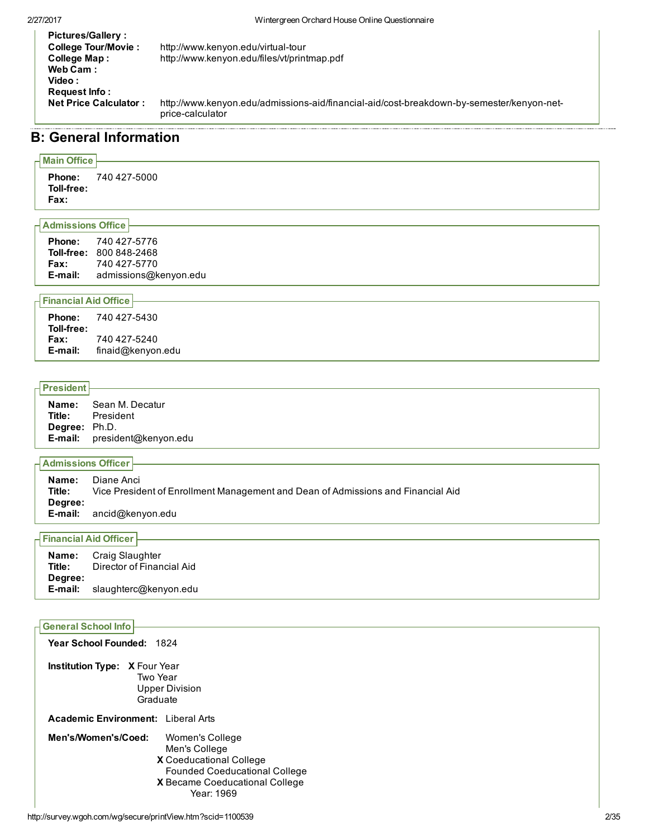| <b>Pictures/Gallery:</b><br>College Tour/Movie:<br>College Map:<br>Web Cam: | http://www.kenyon.edu/virtual-tour<br>http://www.kenyon.edu/files/vt/printmap.pdf                             |
|-----------------------------------------------------------------------------|---------------------------------------------------------------------------------------------------------------|
| Video:<br>Request Info:<br><b>Net Price Calculator:</b>                     | http://www.kenyon.edu/admissions-aid/financial-aid/cost-breakdown-by-semester/kenyon-net-<br>price-calculator |

# B: General Information

# Main Office

Phone: 740 427-5000 Toll-free: Fax:

# Admissions Office

| <b>Phone:</b> | 740 427-5776<br><b>Toll-free: 800 848-2468</b> |
|---------------|------------------------------------------------|
| <b>Fax:</b>   | 740 427-5770                                   |
| E-mail:       | admissions@kenyon.edu                          |

# Financial Aid Office

| Phone:      | 740 427-5430      |
|-------------|-------------------|
| Toll-free:  |                   |
| <b>Fax:</b> | 740 427-5240      |
| E-mail:     | finaid@kenyon.edu |

# President

| Name:                | Sean M. Decatur      |
|----------------------|----------------------|
| Title:               | President            |
| <b>Degree:</b> Ph.D. |                      |
| E-mail:              | president@kenyon.edu |

# Admissions Officer

| Name:<br>Title:<br>Degree: | Diane Anci<br>Vice President of Enrollment Management and Dean of Admissions and Financial Aid |
|----------------------------|------------------------------------------------------------------------------------------------|
|                            | <b>E-mail:</b> $ancid@kenvon.edu$                                                              |

# Financial Aid Officer

| Name:   | Craig Slaughter           |
|---------|---------------------------|
| Title:  | Director of Financial Aid |
| Degree: |                           |
| E-mail: | slaughterc@kenyon.edu     |

# General School Info

| Year School Founded: 1824                                                                                                                                                  |  |
|----------------------------------------------------------------------------------------------------------------------------------------------------------------------------|--|
| <b>Institution Type: X Four Year</b><br>Two Year<br><b>Upper Division</b><br>Graduate                                                                                      |  |
| <b>Academic Environment:</b> Liberal Arts                                                                                                                                  |  |
| Men's/Women's/Coed:<br>Women's College<br>Men's College<br>X Coeducational College<br><b>Founded Coeducational College</b><br>X Became Coeducational College<br>Year: 1969 |  |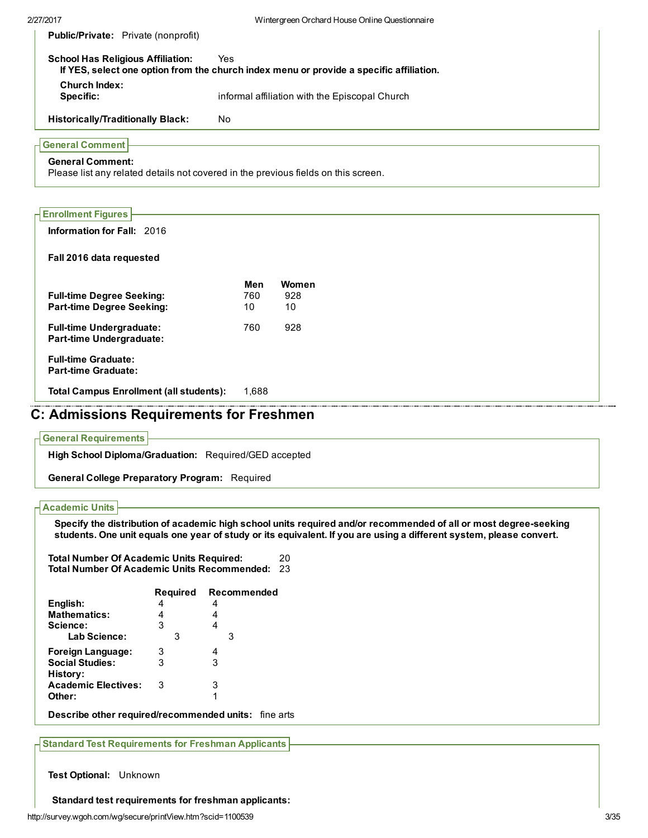Public/Private: Private (nonprofit)

| School Has Religious Affiliation: | Yes.<br>If YES, select one option from the church index menu or provide a specific affiliation. |
|-----------------------------------|-------------------------------------------------------------------------------------------------|
| <b>Church Index:</b><br>Specific: | informal affiliation with the Episcopal Church                                                  |
|                                   |                                                                                                 |

Historically/Traditionally Black: No

# General Comment

## General Comment:

Please list any related details not covered in the previous fields on this screen.

| <b>Enrollment Figures</b>                                            |           |           |
|----------------------------------------------------------------------|-----------|-----------|
| <b>Information for Fall: 2016</b>                                    |           |           |
| Fall 2016 data requested                                             |           |           |
|                                                                      | Men       | Women     |
| <b>Full-time Degree Seeking:</b><br><b>Part-time Degree Seeking:</b> | 760<br>10 | 928<br>10 |
| <b>Full-time Undergraduate:</b><br><b>Part-time Undergraduate:</b>   | 760       | 928       |
| <b>Full-time Graduate:</b><br><b>Part-time Graduate:</b>             |           |           |
| <b>Total Campus Enrollment (all students):</b>                       | 1.688     |           |

# C: Admissions Requirements for Freshmen

#### General Requirements

High School Diploma/Graduation: Required/GED accepted

General College Preparatory Program: Required

## Academic Units

Specify the distribution of academic high school units required and/or recommended of all or most degree-seeking students. One unit equals one year of study or its equivalent. If you are using a different system, please convert.

| <b>Total Number Of Academic Units Required:</b>       | 20 |
|-------------------------------------------------------|----|
| <b>Total Number Of Academic Units Recommended: 23</b> |    |

|                            | <b>Required</b> | Recommended |
|----------------------------|-----------------|-------------|
| English:                   |                 | 4           |
| <b>Mathematics:</b>        |                 | 4           |
| Science:                   | 3               | 4           |
| Lab Science:               | З               | З           |
| <b>Foreign Language:</b>   | 3               | 4           |
| <b>Social Studies:</b>     | 3               | 3           |
| History:                   |                 |             |
| <b>Academic Electives:</b> | 3               | 3           |
| Other:                     |                 | 1           |
|                            |                 |             |

Describe other required/recommended units: fine arts

Standard Test Requirements for Freshman Applicants

Test Optional: Unknown

Standard test requirements for freshman applicants: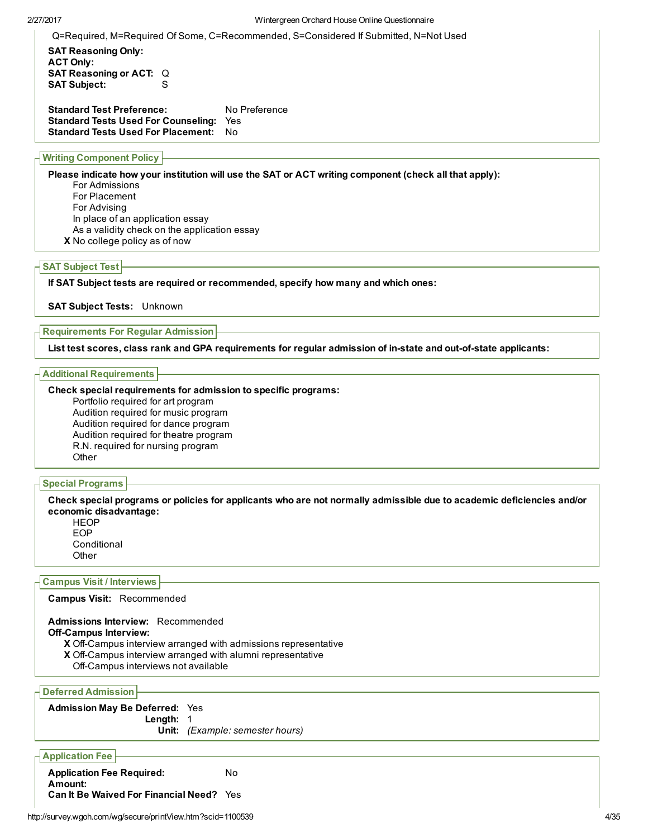Q=Required, M=Required Of Some, C=Recommended, S=Considered If Submitted, N=Not Used

SAT Reasoning Only: ACT Only: SAT Reasoning or ACT: Q **SAT Subject:** 

Standard Test Preference: No Preference Standard Tests Used For Counseling: Yes Standard Tests Used For Placement: No

# Writing Component Policy

Please indicate how your institution will use the SAT or ACT writing component (check all that apply):

- For Admissions For Placement For Advising In place of an application essay As a validity check on the application essay
- X No college policy as of now

## SAT Subject Test

If SAT Subject tests are required or recommended, specify how many and which ones:

SAT Subject Tests: Unknown

### Requirements For Regular Admission

List test scores, class rank and GPA requirements for regular admission of in-state and out-of-state applicants:

Additional Requirements

#### Check special requirements for admission to specific programs:

Portfolio required for art program Audition required for music program Audition required for dance program Audition required for theatre program R.N. required for nursing program **Other** 

## Special Programs

Check special programs or policies for applicants who are not normally admissible due to academic deficiencies and/or economic disadvantage:

**HEOP** EOP **Conditional Other** 

## Campus Visit / Interviews

#### Campus Visit: Recommended

X Off-Campus interview arranged with admissions representative Admissions Interview: Recommended Off-Campus Interview:

- X Off-Campus interview arranged with alumni representative
- Off-Campus interviews not available

Deferred Admission

Admission May Be Deferred: Yes Length: 1 Unit: (Example: semester hours)

Application Fee

Application Fee Required: No Amount: Can It Be Waived For Financial Need? Yes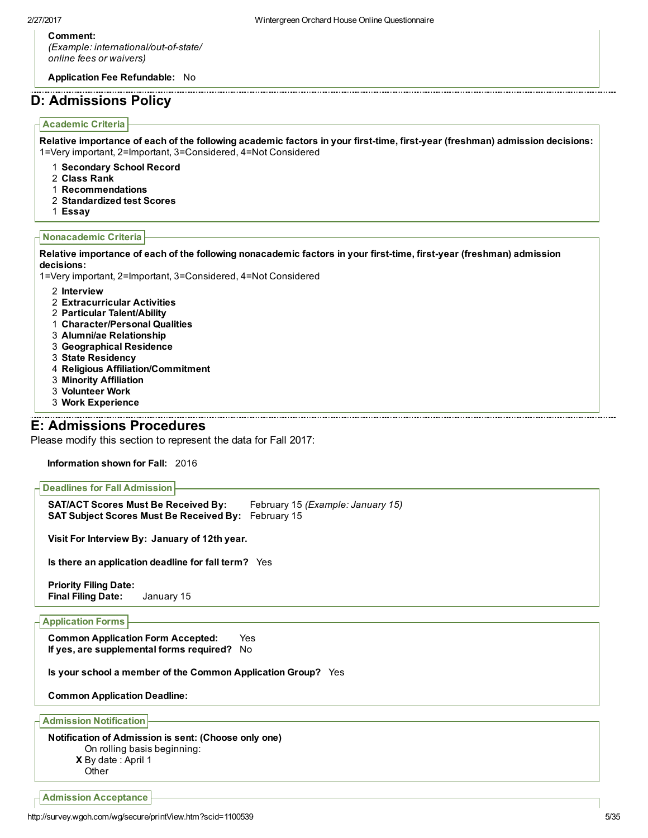#### Comment:

(Example: international/out-of-state/ online fees or waivers)

Application Fee Refundable: No

# D: Admissions Policy

# Academic Criteria

Relative importance of each of the following academic factors in your first-time, first-year (freshman) admission decisions: 1=Very important, 2=Important, 3=Considered, 4=Not Considered

- 1 Secondary School Record
- 2 Class Rank
- 1 Recommendations
- 2 Standardized test Scores
- 1 Essay

#### Nonacademic Criteria

Relative importance of each of the following nonacademic factors in your first-time, first-year (freshman) admission decisions:

1=Very important, 2=Important, 3=Considered, 4=Not Considered

- 2 Interview
- 2 Extracurricular Activities
- 2 Particular Talent/Ability
- 1 Character/Personal Qualities
- 3 Alumni/ae Relationship
- 3 Geographical Residence
- 3 State Residency
- 4 Religious Affiliation/Commitment
- 3 Minority Affiliation
- 3 Volunteer Work
- 3 Work Experience

# E: Admissions Procedures

Please modify this section to represent the data for Fall 2017:

Information shown for Fall: 2016

```
Deadlines for Fall Admission
```
SAT/ACT Scores Must Be Received By: February 15 (Example: January 15) SAT Subject Scores Must Be Received By: February 15

Visit For Interview By: January of 12th year.

Is there an application deadline for fall term? Yes

Priority Filing Date: Final Filing Date: January 15

## Application Forms

Common Application Form Accepted: Yes If yes, are supplemental forms required? No

Is your school a member of the Common Application Group? Yes

Common Application Deadline:

Admission Notification

#### X By date : April 1 Notification of Admission is sent: (Choose only one) On rolling basis beginning:

**Other** 

Admission Acceptance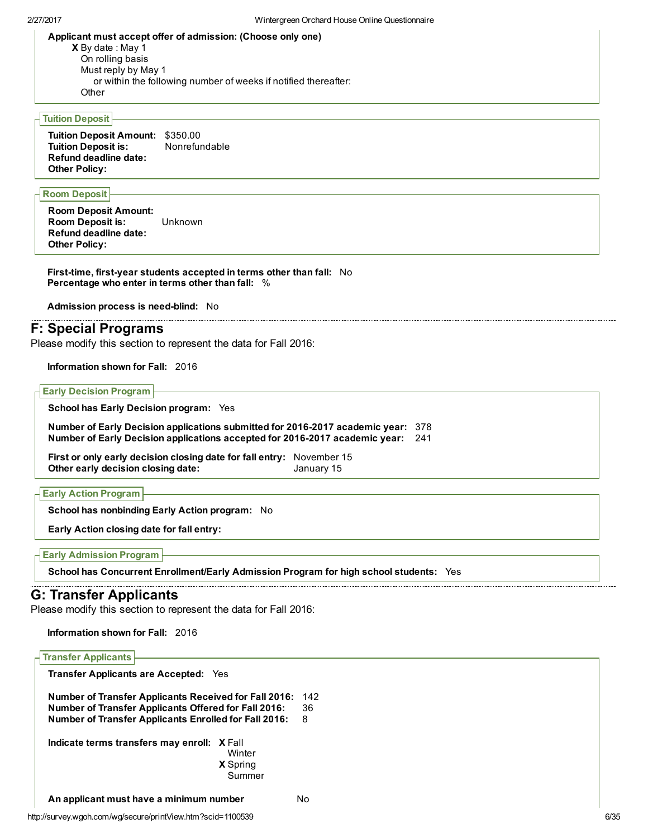Applicant must accept offer of admission: (Choose only one)

X By date : May 1 On rolling basis Must reply by May 1 or within the following number of weeks if notified thereafter: **Other** 

## Tuition Deposit

Tuition Deposit Amount: \$350.00 Tuition Deposit is: Refund deadline date: Other Policy:

#### Room Deposit

Room Deposit Amount: Room Deposit is: Unknown Refund deadline date: Other Policy:

First-time, first-year students accepted in terms other than fall: No Percentage who enter in terms other than fall: %

Admission process is need-blind: No

# F: Special Programs

Please modify this section to represent the data for Fall 2016:

Information shown for Fall: 2016

Early Decision Program

School has Early Decision program: Yes

Number of Early Decision applications submitted for 2016-2017 academic year: 378 Number of Early Decision applications accepted for 2016-2017 academic year: 241

First or only early decision closing date for fall entry: November 15 Other early decision closing date: January 15

|  | <b>Early Action Program</b> |  |
|--|-----------------------------|--|
|--|-----------------------------|--|

School has nonbinding Early Action program: No

Early Action closing date for fall entry:

```
Early Admission Program
```
School has Concurrent Enrollment/Early Admission Program for high school students: Yes

# G: Transfer Applicants

Please modify this section to represent the data for Fall 2016:

Information shown for Fall: 2016

| <b>Transfer Applicants</b>                                                                                                                                                                  |                                     |                |  |  |
|---------------------------------------------------------------------------------------------------------------------------------------------------------------------------------------------|-------------------------------------|----------------|--|--|
| <b>Transfer Applicants are Accepted:</b><br>Yes                                                                                                                                             |                                     |                |  |  |
| <b>Number of Transfer Applicants Received for Fall 2016:</b><br><b>Number of Transfer Applicants Offered for Fall 2016:</b><br><b>Number of Transfer Applicants Enrolled for Fall 2016:</b> |                                     | 142<br>36<br>8 |  |  |
| Indicate terms transfers may enroll: X Fall                                                                                                                                                 | Winter<br><b>X</b> Spring<br>Summer |                |  |  |
| An applicant must have a minimum number                                                                                                                                                     |                                     | N٥             |  |  |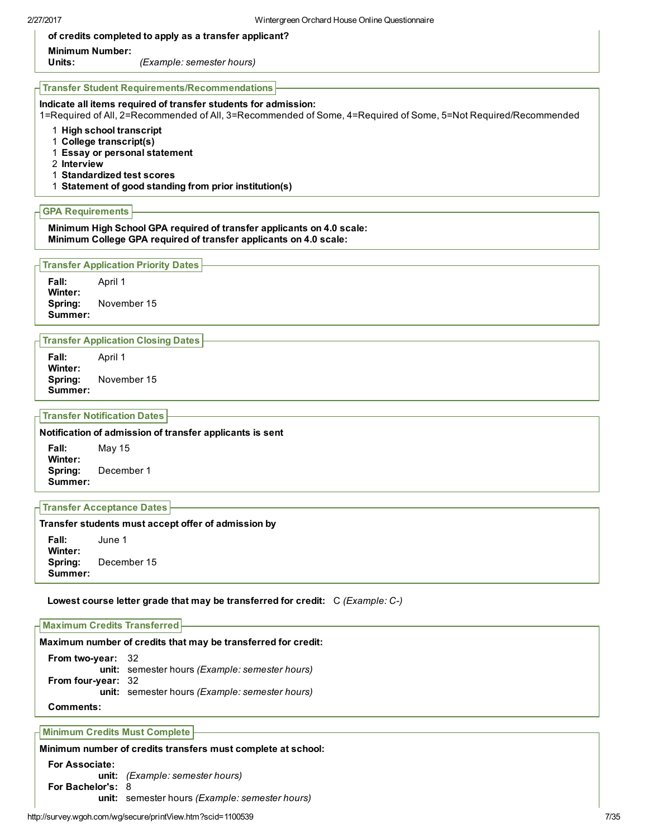of credits completed to apply as a transfer applicant?

## Minimum Number:

Units: (Example: semester hours)

#### Transfer Student Requirements/Recommendations

#### Indicate all items required of transfer students for admission:

1=Required of All, 2=Recommended of All, 3=Recommended of Some, 4=Required of Some, 5=Not Required/Recommended

- 1 High school transcript
- 1 College transcript(s)
- 1 Essay or personal statement
- 2 Interview
- 1 Standardized test scores
- 1 Statement of good standing from prior institution(s)

### GPA Requirements

Minimum High School GPA required of transfer applicants on 4.0 scale: Minimum College GPA required of transfer applicants on 4.0 scale:

#### Transfer Application Priority Dates

Fall: April 1 Winter: Spring: November 15 Summer:

#### Transfer Application Closing Dates

Fall: April 1 Winter: Spring: November 15 Summer:

## Transfer Notification Dates

Notification of admission of transfer applicants is sent

Fall: May 15 Winter: Spring: December 1 Summer:

## Transfer Acceptance Dates

#### Transfer students must accept offer of admission by

Fall: June 1 Winter: Spring: December 15 Summer:

#### Lowest course letter grade that may be transferred for credit: C (Example: C-)

# Maximum Credits Transferred Maximum number of credits that may be transferred for credit:

From two-year: 32 unit: semester hours (Example: semester hours) From four-year: 32 unit: semester hours (Example: semester hours) Comments:

# Minimum Credits Must Complete

# Minimum number of credits transfers must complete at school:

For Associate: unit: (Example: semester hours) For Bachelor's: 8 unit: semester hours (Example: semester hours)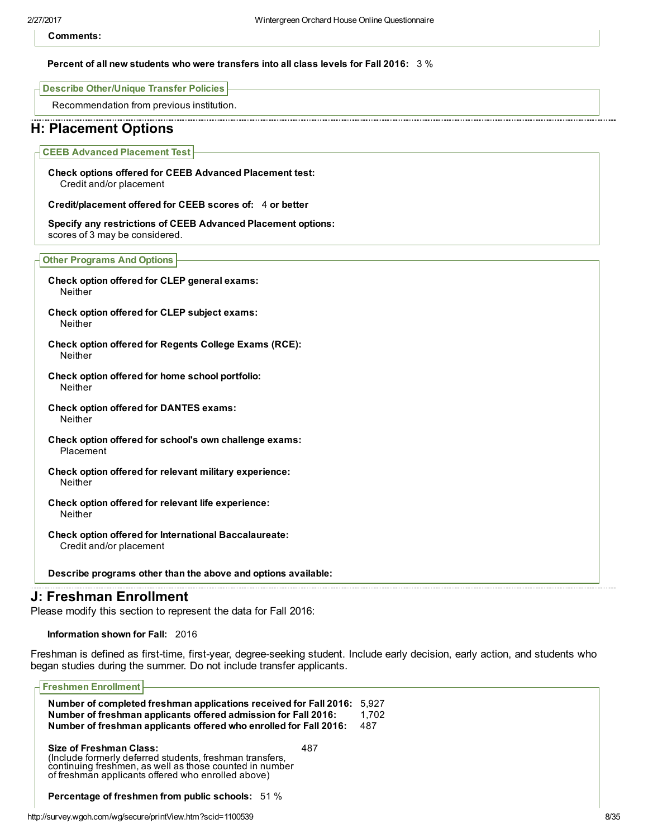Comments:

#### Percent of all new students who were transfers into all class levels for Fall 2016: 3 %

Describe Other/Unique Transfer Policies

Recommendation from previous institution.

# H: Placement Options

CEEB Advanced Placement Test

Check options offered for CEEB Advanced Placement test: Credit and/or placement

Credit/placement offered for CEEB scores of: 4 or better

Specify any restrictions of CEEB Advanced Placement options: scores of 3 may be considered.

Other Programs And Options

- Check option offered for CLEP general exams: Neither
- Check option offered for CLEP subject exams: Neither
- Check option offered for Regents College Exams (RCE): Neither
- Check option offered for home school portfolio: Neither
- Check option offered for DANTES exams: Neither
- Check option offered for school's own challenge exams: Placement
- Check option offered for relevant military experience: Neither
- Check option offered for relevant life experience: Neither
- Check option offered for International Baccalaureate: Credit and/or placement

Describe programs other than the above and options available:

# J: Freshman Enrollment

Please modify this section to represent the data for Fall 2016:

Information shown for Fall: 2016

Freshman is defined as first-time, first-year, degree-seeking student. Include early decision, early action, and students who began studies during the summer. Do not include transfer applicants.

| <b>Freshmen Enrollment</b>                                                                                                                                                                           |     |                |
|------------------------------------------------------------------------------------------------------------------------------------------------------------------------------------------------------|-----|----------------|
| Number of completed freshman applications received for Fall 2016:<br>Number of freshman applicants offered admission for Fall 2016:                                                                  |     | 5.927<br>1.702 |
| Number of freshman applicants offered who enrolled for Fall 2016:                                                                                                                                    |     | 487            |
| Size of Freshman Class:<br>(Include formerly deferred students, freshman transfers,<br>continuing freshmen, as well as those counted in number<br>of freshman applicants offered who enrolled above) | 487 |                |
| <b>Percentage of freshmen from public schools:</b> 51 %                                                                                                                                              |     |                |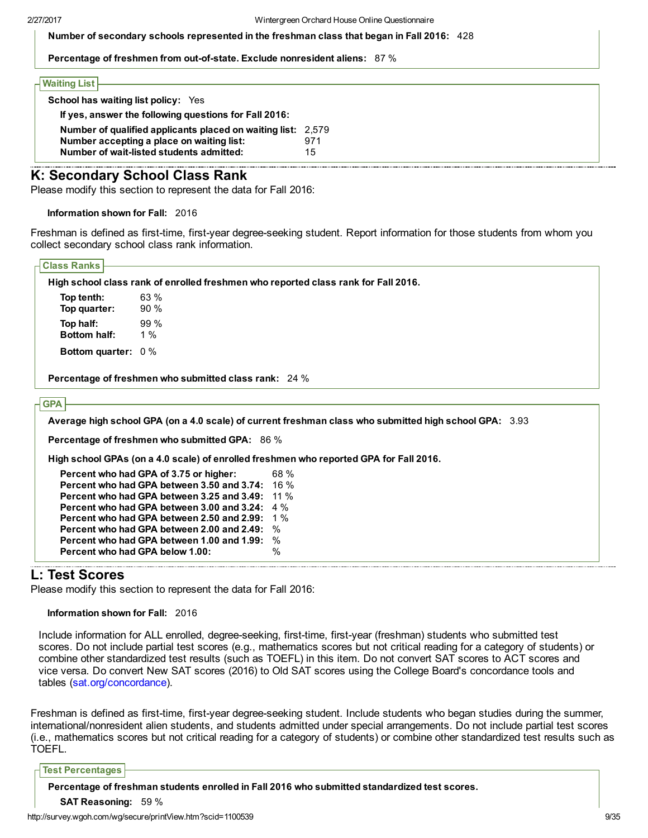Number of secondary schools represented in the freshman class that began in Fall 2016: 428

Percentage of freshmen from out-of-state. Exclude nonresident aliens: 87%

#### Waiting List

| <b>School has waiting list policy:</b> Yes                                                                                                            |           |
|-------------------------------------------------------------------------------------------------------------------------------------------------------|-----------|
| If yes, answer the following questions for Fall 2016:                                                                                                 |           |
| Number of qualified applicants placed on waiting list: 2,579<br>Number accepting a place on waiting list:<br>Number of wait-listed students admitted: | 971<br>15 |

# K: Secondary School Class Rank

Please modify this section to represent the data for Fall 2016:

Information shown for Fall: 2016

Freshman is defined as first-time, first-year degree-seeking student. Report information for those students from whom you collect secondary school class rank information.

| <b>Class Ranks</b>  |                                                                                    |
|---------------------|------------------------------------------------------------------------------------|
|                     | High school class rank of enrolled freshmen who reported class rank for Fall 2016. |
| Top tenth:          | 63 %                                                                               |
| Top quarter:        | 90%                                                                                |
| Top half:           | 99%                                                                                |
| <b>Bottom half:</b> | 1 %                                                                                |

Bottom quarter: 0 %

Percentage of freshmen who submitted class rank: 24 %

### **GPA**

Average high school GPA (on a 4.0 scale) of current freshman class who submitted high school GPA: 3.93

Percentage of freshmen who submitted GPA: 86 %

High school GPAs (on a 4.0 scale) of enrolled freshmen who reported GPA for Fall 2016.

| Percent who had GPA of 3.75 or higher:                 | 68 % |
|--------------------------------------------------------|------|
| <b>Percent who had GPA between 3.50 and 3.74: 16 %</b> |      |
| Percent who had GPA between 3.25 and 3.49:             | 11 % |
| <b>Percent who had GPA between 3.00 and 3.24:</b> 4 %  |      |
| Percent who had GPA between 2.50 and 2.99:             | 1 %  |
| Percent who had GPA between 2.00 and 2.49:             | %    |
| Percent who had GPA between 1.00 and 1.99:             | %    |
| Percent who had GPA below 1.00:                        | %    |

# L: Test Scores

Please modify this section to represent the data for Fall 2016:

Information shown for Fall: 2016

Include information for ALL enrolled, degree-seeking, first-time, first-year (freshman) students who submitted test scores. Do not include partial test scores (e.g., mathematics scores but not critical reading for a category of students) or combine other standardized test results (such as TOEFL) in this item. Do not convert SAT scores to ACT scores and vice versa. Do convert New SAT scores (2016) to Old SAT scores using the College Board's concordance tools and tables [\(sat.org/concordance](http://sat.org/concordance)).

Freshman is defined as first-time, first-year degree-seeking student. Include students who began studies during the summer, international/nonresident alien students, and students admitted under special arrangements. Do not include partial test scores (i.e., mathematics scores but not critical reading for a category of students) or combine other standardized test results such as TOEFL.

#### Test Percentages

Percentage of freshman students enrolled in Fall 2016 who submitted standardized test scores.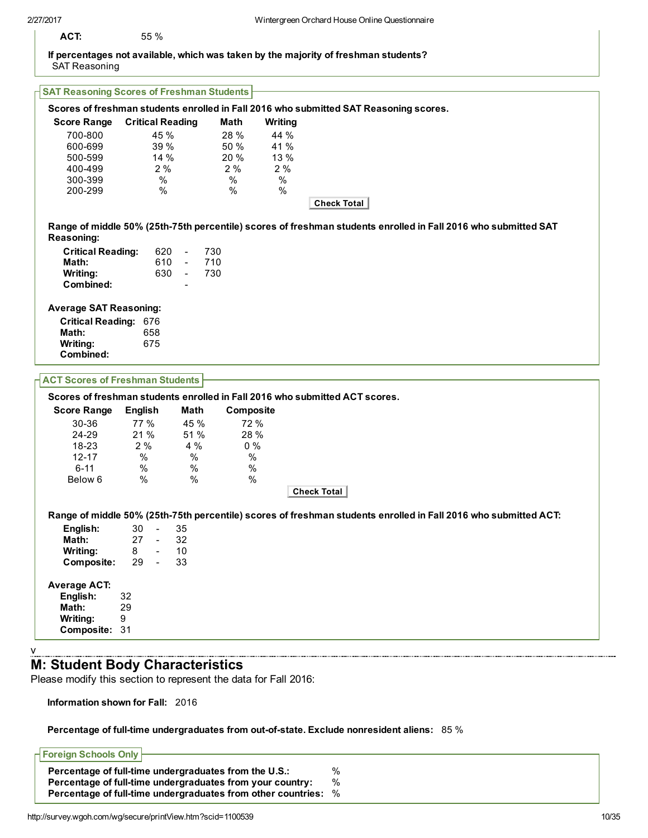## If percentages not available, which was taken by the majority of freshman students? SAT Reasoning

# SAT Reasoning Scores of Freshman Students

|                                        |                         |               |           | Scores of freshman students enrolled in Fall 2016 who submitted SAT Reasoning scores.                           |
|----------------------------------------|-------------------------|---------------|-----------|-----------------------------------------------------------------------------------------------------------------|
| <b>Score Range</b>                     | <b>Critical Reading</b> |               | Math      | Writing                                                                                                         |
| 700-800                                | 45 %                    |               | 28 %      | 44 %                                                                                                            |
| 600-699                                | 39 %                    |               | 50 %      | 41 %                                                                                                            |
| 500-599                                | 14%                     |               | 20 %      | 13 %                                                                                                            |
| 400-499                                | 2%                      |               | 2%        | 2%                                                                                                              |
| 300-399                                | $\%$                    |               | $\%$      | %                                                                                                               |
| 200-299                                | $\%$                    |               | %         | %                                                                                                               |
|                                        |                         |               |           | Check Total                                                                                                     |
|                                        |                         |               |           | Range of middle 50% (25th-75th percentile) scores of freshman students enrolled in Fall 2016 who submitted SAT  |
| <b>Reasoning:</b>                      |                         |               |           |                                                                                                                 |
| <b>Critical Reading:</b>               | 620                     | 730           |           |                                                                                                                 |
| Math:                                  | 610                     | 710<br>$\sim$ |           |                                                                                                                 |
| Writing:                               | 630                     | 730<br>$\sim$ |           |                                                                                                                 |
| Combined:                              |                         |               |           |                                                                                                                 |
|                                        |                         |               |           |                                                                                                                 |
| <b>Average SAT Reasoning:</b>          |                         |               |           |                                                                                                                 |
| <b>Critical Reading: 676</b>           |                         |               |           |                                                                                                                 |
| Math:                                  | 658                     |               |           |                                                                                                                 |
| Writing:                               | 675                     |               |           |                                                                                                                 |
| Combined:                              |                         |               |           |                                                                                                                 |
|                                        |                         |               |           |                                                                                                                 |
| <b>ACT Scores of Freshman Students</b> |                         |               |           |                                                                                                                 |
|                                        |                         |               |           | Scores of freshman students enrolled in Fall 2016 who submitted ACT scores.                                     |
| <b>Score Range</b>                     | <b>English</b>          | Math          | Composite |                                                                                                                 |
| 30-36                                  | 77 %                    | 45 %          | 72 %      |                                                                                                                 |
| 24-29                                  | 21 %                    | 51 %          | 28 %      |                                                                                                                 |
| 18-23                                  | 2%                      | 4 %           | 0%        |                                                                                                                 |
| $12 - 17$                              | %                       | %             | $\%$      |                                                                                                                 |
| $6 - 11$                               | $\%$                    | $\%$          | %         |                                                                                                                 |
|                                        |                         |               |           |                                                                                                                 |
| Below 6                                | $\%$                    | $\%$          | %         |                                                                                                                 |
|                                        |                         |               |           | Check Total                                                                                                     |
|                                        |                         |               |           | Range of middle 50% (25th-75th percentile) scores of freshman students enrolled in Fall 2016 who submitted ACT: |
| English:                               | 30<br>$\sim$ $\sim$     | 35            |           |                                                                                                                 |
| Math:                                  | 27<br>$\sim$ $-$        | 32            |           |                                                                                                                 |
|                                        | 8<br>$\blacksquare$     | 10            |           |                                                                                                                 |
| Writing:                               |                         |               |           |                                                                                                                 |
| <b>Composite:</b>                      | 29<br>$\sim$ $-$        | 33            |           |                                                                                                                 |
| <b>Average ACT:</b>                    |                         |               |           |                                                                                                                 |
| English:                               | 32                      |               |           |                                                                                                                 |
| Math:                                  | 29                      |               |           |                                                                                                                 |
| Writing:                               | 9                       |               |           |                                                                                                                 |
| Composite: 31                          |                         |               |           |                                                                                                                 |
|                                        |                         |               |           |                                                                                                                 |

v

# M: Student Body Characteristics

Please modify this section to represent the data for Fall 2016:

Information shown for Fall: 2016

## Percentage of full-time undergraduates from out-of-state. Exclude nonresident aliens: 85 %

# Foreign Schools Only Percentage of full-time undergraduates from the U.S.:  $\%$ <br>Percentage of full-time undergraduates from your country:  $\%$ Percentage of full-time undergraduates from your country: Percentage of full-time undergraduates from other countries: %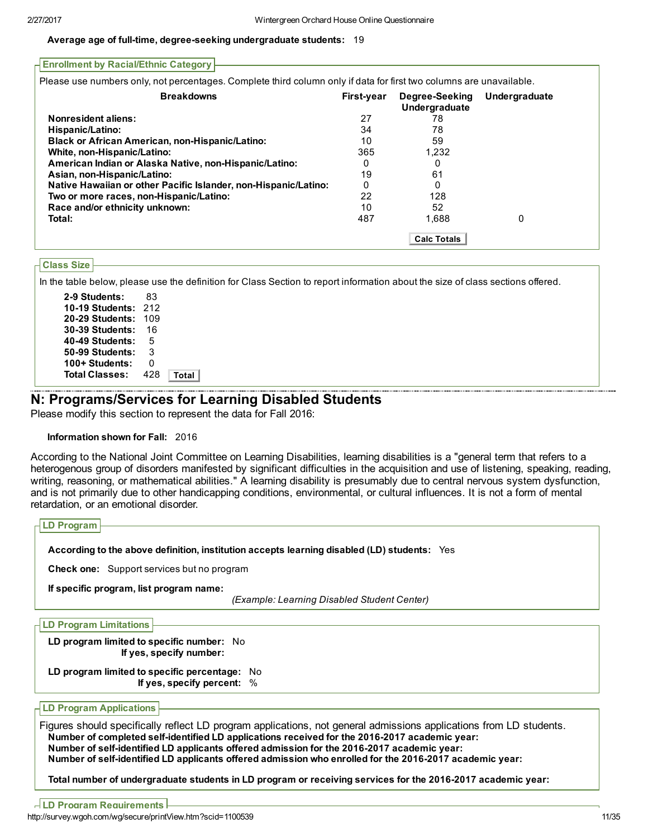#### Average age of full-time, degree-seeking undergraduate students: 19

| <b>Enrollment by Racial/Ethnic Category</b>                                                                         |                   |                                        |               |
|---------------------------------------------------------------------------------------------------------------------|-------------------|----------------------------------------|---------------|
| Please use numbers only, not percentages. Complete third column only if data for first two columns are unavailable. |                   |                                        |               |
| <b>Breakdowns</b>                                                                                                   | <b>First-year</b> | Degree-Seeking<br><b>Undergraduate</b> | Undergraduate |
| <b>Nonresident aliens:</b>                                                                                          | 27                | 78                                     |               |
| Hispanic/Latino:                                                                                                    | 34                | 78                                     |               |
| <b>Black or African American, non-Hispanic/Latino:</b>                                                              | 10                | 59                                     |               |
| White, non-Hispanic/Latino:                                                                                         | 365               | 1,232                                  |               |
| American Indian or Alaska Native, non-Hispanic/Latino:                                                              | 0                 | O                                      |               |
| Asian, non-Hispanic/Latino:                                                                                         | 19                | 61                                     |               |
| Native Hawaiian or other Pacific Islander, non-Hispanic/Latino:                                                     | 0                 |                                        |               |
| Two or more races, non-Hispanic/Latino:                                                                             | 22                | 128                                    |               |
| Race and/or ethnicity unknown:                                                                                      | 10                | 52                                     |               |
| Total:                                                                                                              | 487               | 1.688                                  | 0             |
|                                                                                                                     |                   | <b>Calc Totals</b>                     |               |

## Class Size

In the table below, please use the definition for Class Section to report information about the size of class sections offered.

| 2-9 Students:         | 83  |       |
|-----------------------|-----|-------|
| 10-19 Students:       | 212 |       |
| 20-29 Students:       | 109 |       |
| 30-39 Students:       | 16  |       |
| 40-49 Students:       | 5   |       |
| 50-99 Students:       | 3   |       |
| 100+ Students:        | ი   |       |
| <b>Total Classes:</b> | 428 | Total |
|                       |     |       |

# N: Programs/Services for Learning Disabled Students

Please modify this section to represent the data for Fall 2016:

## Information shown for Fall: 2016

According to the National Joint Committee on Learning Disabilities, learning disabilities is a "general term that refers to a heterogenous group of disorders manifested by significant difficulties in the acquisition and use of listening, speaking, reading, writing, reasoning, or mathematical abilities." A learning disability is presumably due to central nervous system dysfunction, and is not primarily due to other handicapping conditions, environmental, or cultural influences. It is not a form of mental retardation, or an emotional disorder.

| <b>LD Program</b>                                 |                                                                                             |  |  |
|---------------------------------------------------|---------------------------------------------------------------------------------------------|--|--|
|                                                   | According to the above definition, institution accepts learning disabled (LD) students: Yes |  |  |
| <b>Check one:</b> Support services but no program |                                                                                             |  |  |
|                                                   | If specific program, list program name:                                                     |  |  |
|                                                   | (Example: Learning Disabled Student Center)                                                 |  |  |

| <b>LD Program Limitations</b> |  |
|-------------------------------|--|
|-------------------------------|--|

LD program limited to specific number: No If yes, specify number:

LD program limited to specific percentage: No If yes, specify percent: %

LD Program Applications

Figures should specifically reflect LD program applications, not general admissions applications from LD students. Number of completed self-identified LD applications received for the 2016-2017 academic year: Number of self-identified LD applicants offered admission for the 2016-2017 academic year: Number of self-identified LD applicants offered admission who enrolled for the 2016-2017 academic year:

Total number of undergraduate students in LD program or receiving services for the 2016-2017 academic year: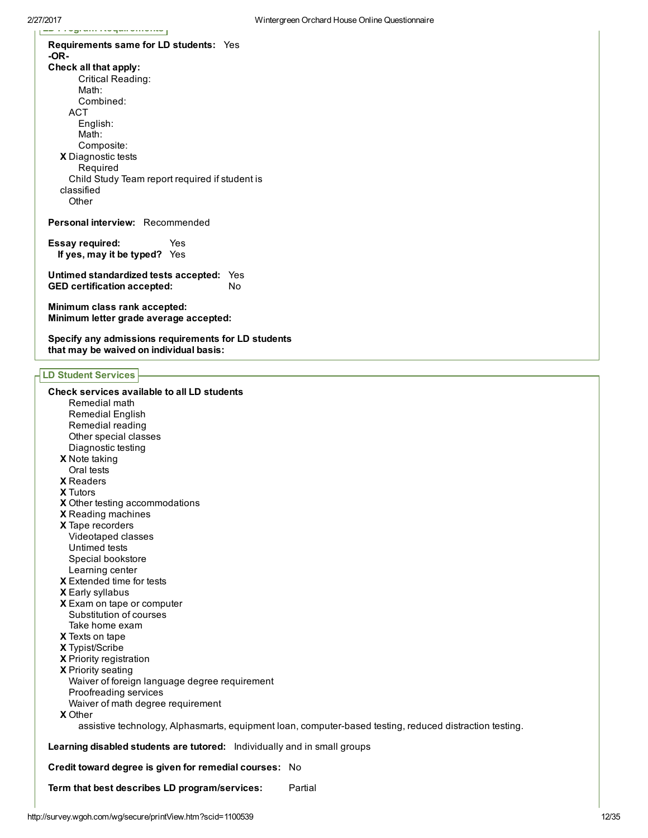X Diagnostic tests Requirements same for LD students: Yes OR-Check all that apply: Critical Reading: Math: Combined: ACT English: Math: Composite: Required Child Study Team report required if student is classified **Other** 

Personal interview: Recommended

Essay required: Yes If yes, may it be typed? Yes

 $\mathbb{L}$  -  $\mathbb{L}$   $\mathbb{L}$   $\mathbb{L}$   $\mathbb{L}$  and  $\mathbb{L}$  are proper substituting

Untimed standardized tests accepted: Yes GED certification accepted: No

Minimum class rank accepted: Minimum letter grade average accepted:

Specify any admissions requirements for LD students that may be waived on individual basis:

## LD Student Services

X Note taking X Readers X Tutors X Other testing accommodations X Reading machines X Tape recorders X Extended time for tests X Early syllabus X Exam on tape or computer X Texts on tape X Typist/Scribe X Priority registration X Priority seating X Other Check services available to all LD students Remedial math Remedial English Remedial reading Other special classes Diagnostic testing Oral tests Videotaped classes Untimed tests Special bookstore Learning center Substitution of courses Take home exam Waiver of foreign language degree requirement Proofreading services Waiver of math degree requirement assistive technology, Alphasmarts, equipment loan, computer-based testing, reduced distraction testing. Learning disabled students are tutored: Individually and in small groups Credit toward degree is given for remedial courses: No Term that best describes LD program/services: Partial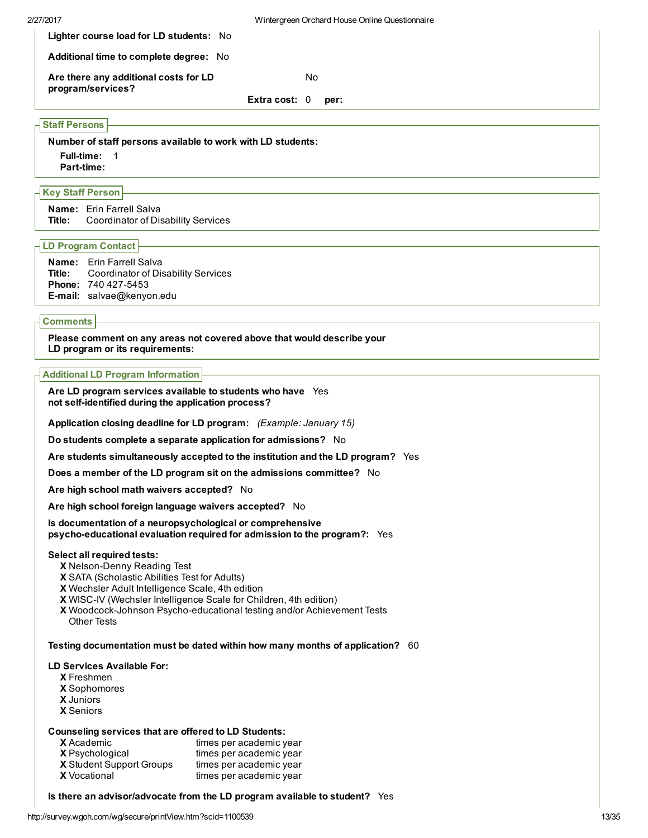| 2/27/2017 |                                                            | Wintergreen Orchard House Online Questionnaire |    |      |
|-----------|------------------------------------------------------------|------------------------------------------------|----|------|
|           | Lighter course load for LD students: No                    |                                                |    |      |
|           | <b>Additional time to complete degree:</b> No              |                                                |    |      |
|           | Are there any additional costs for LD<br>program/services? |                                                | No |      |
|           |                                                            | Extra cost: $0$                                |    | per: |

# Staff Persons

Number of staff persons available to work with LD students: Full-time: 1 Part-time:

# Key Staff Person

Name: Erin Farrell Salva Title: Coordinator of Disability Services

#### LD Program Contact

| <b>Name:</b> Erin Farrell Salva                  |
|--------------------------------------------------|
| <b>Title:</b> Coordinator of Disability Services |
| <b>Phone: 740 427-5453</b>                       |
| <b>E-mail:</b> salvae@kenyon.edu                 |

#### **Comments**

Please comment on any areas not covered above that would describe your LD program or its requirements:

#### Additional LD Program Information

Are LD program services available to students who have Yes not self-identified during the application process?

Application closing deadline for LD program: (Example: January 15)

Do students complete a separate application for admissions? No

Are students simultaneously accepted to the institution and the LD program? Yes

Does a member of the LD program sit on the admissions committee? No

Are high school math waivers accepted? No

Are high school foreign language waivers accepted? No

Is documentation of a neuropsychological or comprehensive psycho-educational evaluation required for admission to the program?: Yes

## Select all required tests:

- X Nelson-Denny Reading Test
- X SATA (Scholastic Abilities Test for Adults)
- X Wechsler Adult Intelligence Scale, 4th edition
- X WISCIV (Wechsler Intelligence Scale for Children, 4th edition)
- X Woodcock-Johnson Psycho-educational testing and/or Achievement Tests Other Tests

Testing documentation must be dated within how many months of application? 60

#### LD Services Available For:

- X Freshmen
- X Sophomores
- X Juniors
- X Seniors

#### Counseling services that are offered to LD Students:

| <b>X</b> Academic               | times per academic year |
|---------------------------------|-------------------------|
| <b>X</b> Psychological          | times per academic year |
| <b>X</b> Student Support Groups | times per academic year |
| <b>X</b> Vocational             | times per academic year |

Is there an advisor/advocate from the LD program available to student? Yes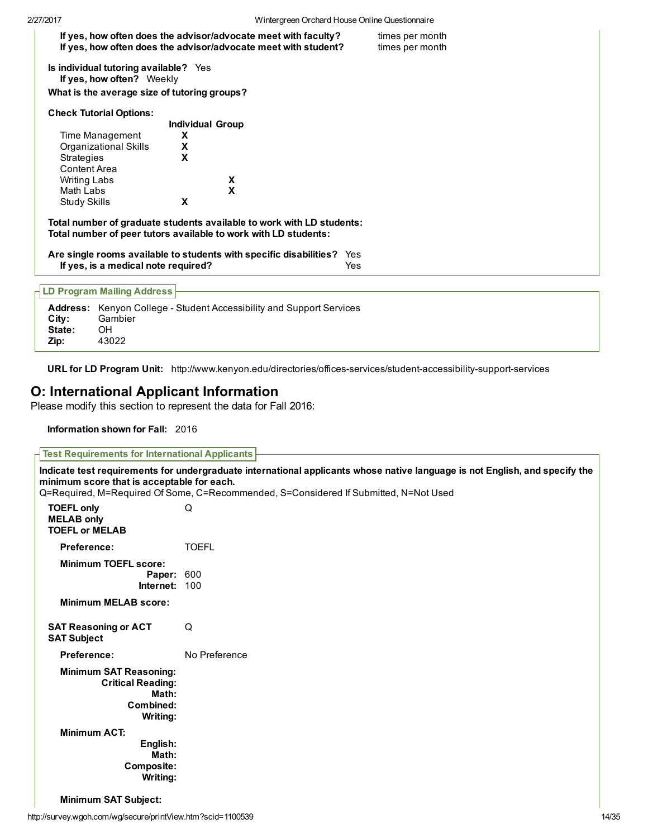| If yes, how often does the advisor/advocate meet with student?                                                                           |                         | If yes, how often does the advisor/advocate meet with faculty? | times per month<br>times per month |  |
|------------------------------------------------------------------------------------------------------------------------------------------|-------------------------|----------------------------------------------------------------|------------------------------------|--|
| Is individual tutoring available? Yes<br>If yes, how often? Weekly                                                                       |                         |                                                                |                                    |  |
| What is the average size of tutoring groups?                                                                                             |                         |                                                                |                                    |  |
| <b>Check Tutorial Options:</b>                                                                                                           |                         |                                                                |                                    |  |
|                                                                                                                                          | <b>Individual Group</b> |                                                                |                                    |  |
| Time Management                                                                                                                          | X                       |                                                                |                                    |  |
| Organizational Skills                                                                                                                    | X                       |                                                                |                                    |  |
| Strategies                                                                                                                               | X                       |                                                                |                                    |  |
| Content Area                                                                                                                             |                         |                                                                |                                    |  |
| <b>Writing Labs</b>                                                                                                                      | χ                       |                                                                |                                    |  |
| Math Labs                                                                                                                                | X                       |                                                                |                                    |  |
| Study Skills                                                                                                                             | X                       |                                                                |                                    |  |
| Total number of graduate students available to work with LD students:<br>Total number of peer tutors available to work with LD students: |                         |                                                                |                                    |  |
| Are single rooms available to students with specific disabilities?                                                                       |                         | Yes                                                            |                                    |  |
| If yes, is a medical note required?                                                                                                      |                         | Yes                                                            |                                    |  |
|                                                                                                                                          |                         |                                                                |                                    |  |
| <b>LD Program Mailing Address</b>                                                                                                        |                         |                                                                |                                    |  |

Address: Kenyon College - Student Accessibility and Support Services City: Gambier State: OH Zip: 43022

URL for LD Program Unit: http://www.kenyon.edu/directories/offices-services/student-accessibility-support-services

# O: International Applicant Information

Please modify this section to represent the data for Fall 2016:

Information shown for Fall: 2016

Test Requirements for International Applicants Indicate test requirements for undergraduate international applicants whose native language is not English, and specify the minimum score that is acceptable for each. Q=Required, M=Required Of Some, C=Recommended, S=Considered If Submitted, N=Not Used TOEFL only Q MELAB only TOEFL or MELAB Preference: TOEFL Minimum TOEFL score: Paper: 600 Internet: 100 Minimum MELAB score: SAT Reasoning or ACT Q SAT Subject Preference: No Preference Minimum SAT Reasoning: Critical Reading: Math: Combined: Writing: Minimum ACT: English: Math: Composite: Writing:

#### Minimum SAT Subject: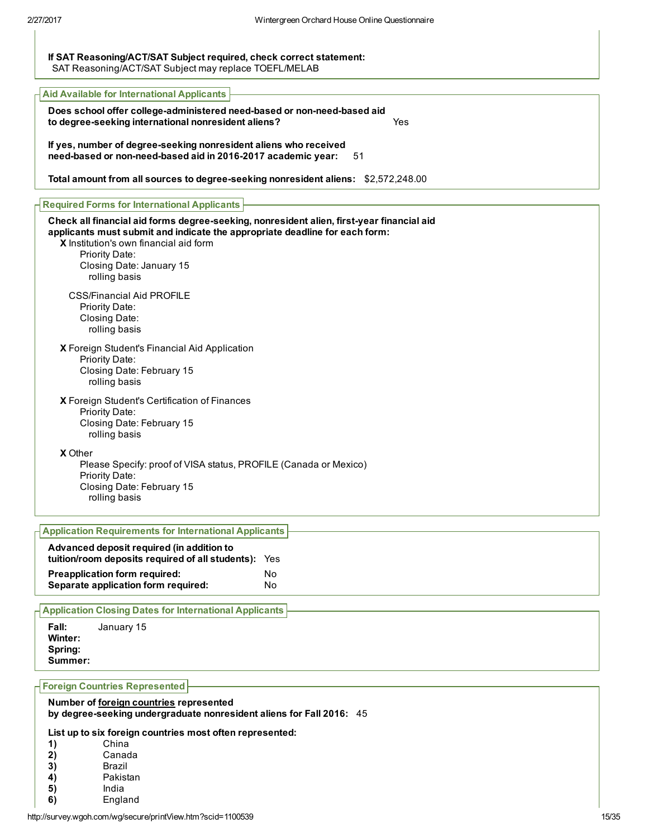## If SAT Reasoning/ACT/SAT Subject required, check correct statement: SAT Reasoning/ACT/SAT Subject may replace TOEFL/MELAB

| <b>Aid Available for International Applicants</b>                                                                                                                                                                                                                                 |
|-----------------------------------------------------------------------------------------------------------------------------------------------------------------------------------------------------------------------------------------------------------------------------------|
| Does school offer college-administered need-based or non-need-based aid<br>to degree-seeking international nonresident aliens?<br>Yes                                                                                                                                             |
| If yes, number of degree-seeking nonresident aliens who received<br>need-based or non-need-based aid in 2016-2017 academic year:<br>51                                                                                                                                            |
| Total amount from all sources to degree-seeking nonresident aliens: \$2,572,248.00                                                                                                                                                                                                |
| <b>Required Forms for International Applicants</b>                                                                                                                                                                                                                                |
| Check all financial aid forms degree-seeking, nonresident alien, first-year financial aid<br>applicants must submit and indicate the appropriate deadline for each form:<br>X Institution's own financial aid form<br>Priority Date:<br>Closing Date: January 15<br>rolling basis |
| <b>CSS/Financial Aid PROFILE</b><br>Priority Date:<br>Closing Date:<br>rolling basis                                                                                                                                                                                              |
| X Foreign Student's Financial Aid Application<br>Priority Date:<br>Closing Date: February 15<br>rolling basis                                                                                                                                                                     |
| X Foreign Student's Certification of Finances<br>Priority Date:<br>Closing Date: February 15<br>rolling basis                                                                                                                                                                     |
| X Other<br>Please Specify: proof of VISA status, PROFILE (Canada or Mexico)<br>Priority Date:<br>Closing Date: February 15<br>rolling basis                                                                                                                                       |
| <b>Application Requirements for International Applicants</b>                                                                                                                                                                                                                      |

| Advanced deposit required (in addition to<br>tuition/room deposits required of all students): Yes |    |
|---------------------------------------------------------------------------------------------------|----|
| <b>Preapplication form required:</b>                                                              | Nο |
| Separate application form required:                                                               | N٥ |

Application Closing Dates for International Applicants

Fall: January 15 Winter: Spring: Summer:

## Foreign Countries Represented

Number of foreign countries represented by degree-seeking undergraduate nonresident aliens for Fall 2016: 45

## List up to six foreign countries most often represented:

| 1) | China |  |
|----|-------|--|
|    | . .   |  |

- 2) Canada<br>3) Brazil
- 3) Brazil<br>4) Pakist
- 4) Pakistan<br>5) India
- 5) India<br>6) Engla
- **England**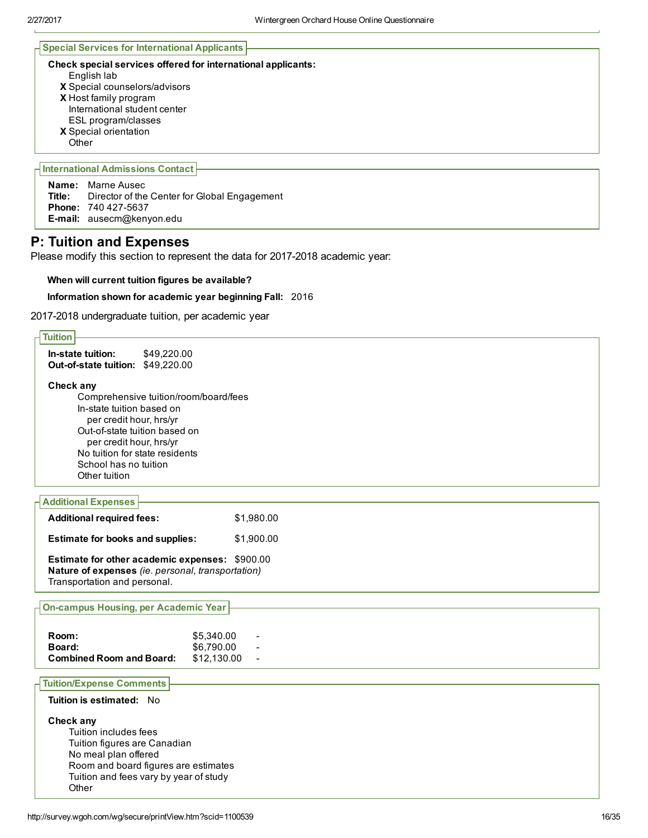# Special Services for International Applicants

## Check special services offered for international applicants:

- English lab
- X Special counselors/advisors
- X Host family program International student center
- ESL program/classes
- X Special orientation
- **Other**

# International Admissions Contact

**Name:** Marne Ausec<br>**Title:** Director of the Director of the Center for Global Engagement Phone: 740 427-5637 E-mail: ausecm@kenyon.edu

# P: Tuition and Expenses

Please modify this section to represent the data for 2017-2018 academic year:

## When will current tuition figures be available?

## Information shown for academic year beginning Fall: 2016

2017-2018 undergraduate tuition, per academic year

| <b>Tuition</b>                                                                                                                                                                                                                                                                                                      |
|---------------------------------------------------------------------------------------------------------------------------------------------------------------------------------------------------------------------------------------------------------------------------------------------------------------------|
| In-state tuition:<br>\$49,220.00<br>Out-of-state tuition: \$49,220.00                                                                                                                                                                                                                                               |
| Check any                                                                                                                                                                                                                                                                                                           |
| Comprehensive tuition/room/board/fees                                                                                                                                                                                                                                                                               |
| In-state tuition based on                                                                                                                                                                                                                                                                                           |
|                                                                                                                                                                                                                                                                                                                     |
|                                                                                                                                                                                                                                                                                                                     |
|                                                                                                                                                                                                                                                                                                                     |
|                                                                                                                                                                                                                                                                                                                     |
| Other tuition                                                                                                                                                                                                                                                                                                       |
|                                                                                                                                                                                                                                                                                                                     |
|                                                                                                                                                                                                                                                                                                                     |
| \$1,980.00<br><b>Additional required fees:</b>                                                                                                                                                                                                                                                                      |
| <b>Estimate for books and supplies:</b><br>\$1,900.00                                                                                                                                                                                                                                                               |
|                                                                                                                                                                                                                                                                                                                     |
| per credit hour, hrs/yr<br>Out-of-state tuition based on<br>per credit hour, hrs/yr<br>No tuition for state residents<br>School has no tuition<br><b>Additional Expenses</b><br>Estimate for other academic expenses: \$900.00<br>Nature of expenses (ie. personal, transportation)<br>Transportation and personal. |
|                                                                                                                                                                                                                                                                                                                     |
|                                                                                                                                                                                                                                                                                                                     |
| <b>On-campus Housing, per Academic Year</b>                                                                                                                                                                                                                                                                         |
|                                                                                                                                                                                                                                                                                                                     |
| Room:<br>\$5,340.00                                                                                                                                                                                                                                                                                                 |
| \$6,790.00<br>Board:<br><b>Combined Room and Board:</b><br>\$12,130.00                                                                                                                                                                                                                                              |
|                                                                                                                                                                                                                                                                                                                     |
| <b>Tuition/Expense Comments</b>                                                                                                                                                                                                                                                                                     |
| Tuition is estimated: No                                                                                                                                                                                                                                                                                            |
| Check any                                                                                                                                                                                                                                                                                                           |
| Tuition includes fees                                                                                                                                                                                                                                                                                               |
| Tuition figures are Canadian                                                                                                                                                                                                                                                                                        |
| No meal plan offered                                                                                                                                                                                                                                                                                                |
| Room and board figures are estimates                                                                                                                                                                                                                                                                                |
| Tuition and fees vary by year of study                                                                                                                                                                                                                                                                              |
| Other                                                                                                                                                                                                                                                                                                               |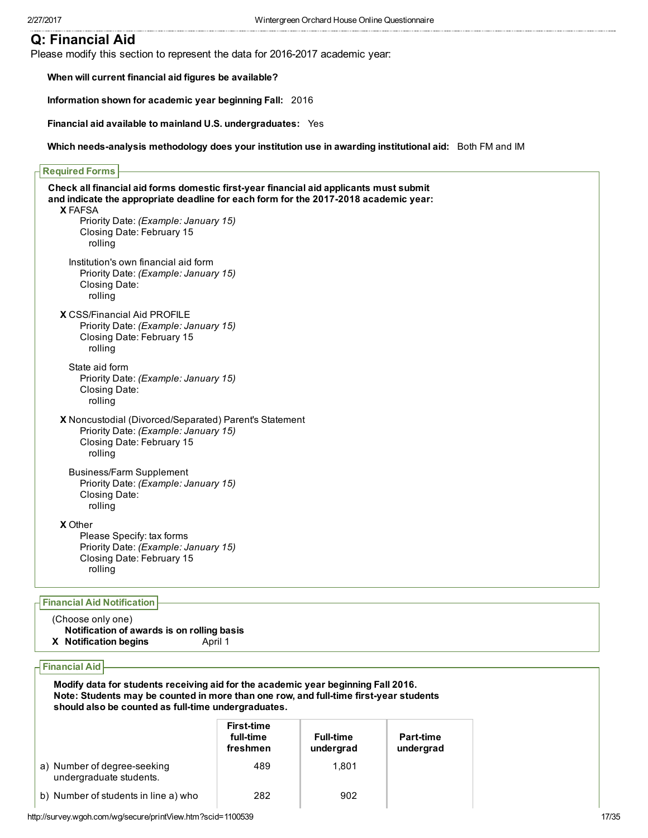# Q: Financial Aid

Please modify this section to represent the data for 2016-2017 academic year:

X FAFSA X CSS/Financial Aid PROFILE X Noncustodial (Divorced/Separated) Parent's Statement X Other When will current financial aid figures be available? Information shown for academic year beginning Fall: 2016 Financial aid available to mainland U.S. undergraduates: Yes Which needs-analysis methodology does your institution use in awarding institutional aid: Both FM and IM Required Forms Check all financial aid forms domestic firstyear financial aid applicants must submit and indicate the appropriate deadline for each form for the 2017-2018 academic year: Priority Date: (Example: January 15) Closing Date: February 15 rolling Institution's own financial aid form Priority Date: (Example: January 15) Closing Date: rolling Priority Date: (Example: January 15) Closing Date: February 15 rolling State aid form Priority Date: (Example: January 15) Closing Date: rolling Priority Date: (Example: January 15) Closing Date: February 15 rolling Business/Farm Supplement Priority Date: (Example: January 15) Closing Date: rolling Please Specify: tax forms Priority Date: (Example: January 15) Closing Date: February 15 rolling Financial Aid Notification (Choose only one) Notification of awards is on rolling basis

X Notification begins April 1

Financial Aid

Modify data for students receiving aid for the academic year beginning Fall 2016. Note: Students may be counted in more than one row, and full-time first-year students should also be counted as full-time undergraduates.

|                                                        | <b>First-time</b><br>full-time<br>freshmen | <b>Full-time</b><br>undergrad | <b>Part-time</b><br>undergrad |
|--------------------------------------------------------|--------------------------------------------|-------------------------------|-------------------------------|
| a) Number of degree-seeking<br>undergraduate students. | 489                                        | 1.801                         |                               |
| b) Number of students in line a) who                   | 282                                        | 902                           |                               |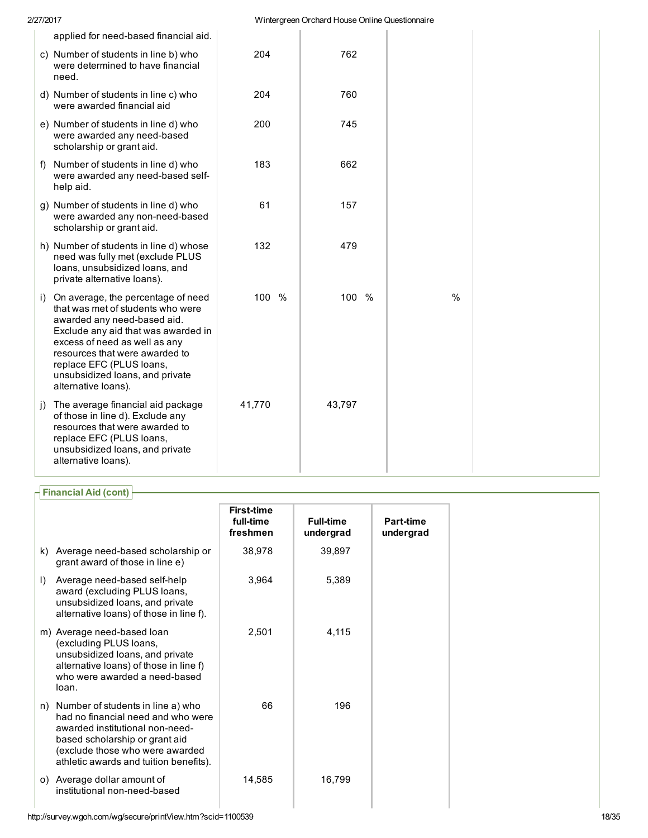| 2/27/2017                                                                                                                                                                                                                                                                                                 |        | Wintergreen Orchard House Online Questionnaire |      |  |
|-----------------------------------------------------------------------------------------------------------------------------------------------------------------------------------------------------------------------------------------------------------------------------------------------------------|--------|------------------------------------------------|------|--|
| applied for need-based financial aid.                                                                                                                                                                                                                                                                     |        |                                                |      |  |
| c) Number of students in line b) who<br>were determined to have financial<br>need.                                                                                                                                                                                                                        | 204    | 762                                            |      |  |
| d) Number of students in line c) who<br>were awarded financial aid                                                                                                                                                                                                                                        | 204    | 760                                            |      |  |
| e) Number of students in line d) who<br>were awarded any need-based<br>scholarship or grant aid.                                                                                                                                                                                                          | 200    | 745                                            |      |  |
| f) Number of students in line d) who<br>were awarded any need-based self-<br>help aid.                                                                                                                                                                                                                    | 183    | 662                                            |      |  |
| g) Number of students in line d) who<br>were awarded any non-need-based<br>scholarship or grant aid.                                                                                                                                                                                                      | 61     | 157                                            |      |  |
| h) Number of students in line d) whose<br>need was fully met (exclude PLUS<br>loans, unsubsidized loans, and<br>private alternative loans).                                                                                                                                                               | 132    | 479                                            |      |  |
| i) On average, the percentage of need<br>that was met of students who were<br>awarded any need-based aid.<br>Exclude any aid that was awarded in<br>excess of need as well as any<br>resources that were awarded to<br>replace EFC (PLUS loans,<br>unsubsidized loans, and private<br>alternative loans). | 100 %  | 100<br>%                                       | $\%$ |  |
| j) The average financial aid package<br>of those in line d). Exclude any<br>resources that were awarded to<br>replace EFC (PLUS loans,<br>unsubsidized loans, and private<br>alternative loans).                                                                                                          | 41,770 | 43,797                                         |      |  |

# Financial Aid (cont)

|           |                                                                                                                                                                                                                           | <b>First-time</b>     |                               |                        |
|-----------|---------------------------------------------------------------------------------------------------------------------------------------------------------------------------------------------------------------------------|-----------------------|-------------------------------|------------------------|
|           |                                                                                                                                                                                                                           | full-time<br>freshmen | <b>Full-time</b><br>undergrad | Part-time<br>undergrad |
| k)        | Average need-based scholarship or<br>grant award of those in line e)                                                                                                                                                      | 38,978                | 39,897                        |                        |
| $\vert$ ) | Average need-based self-help<br>award (excluding PLUS loans,<br>unsubsidized loans, and private<br>alternative loans) of those in line f).                                                                                | 3,964                 | 5,389                         |                        |
|           | m) Average need-based loan<br>(excluding PLUS loans,<br>unsubsidized loans, and private<br>alternative loans) of those in line f)<br>who were awarded a need-based<br>loan.                                               | 2,501                 | 4,115                         |                        |
| n)        | Number of students in line a) who<br>had no financial need and who were<br>awarded institutional non-need-<br>based scholarship or grant aid<br>(exclude those who were awarded<br>athletic awards and tuition benefits). | 66                    | 196                           |                        |
| O)        | Average dollar amount of<br>institutional non-need-based                                                                                                                                                                  | 14,585                | 16,799                        |                        |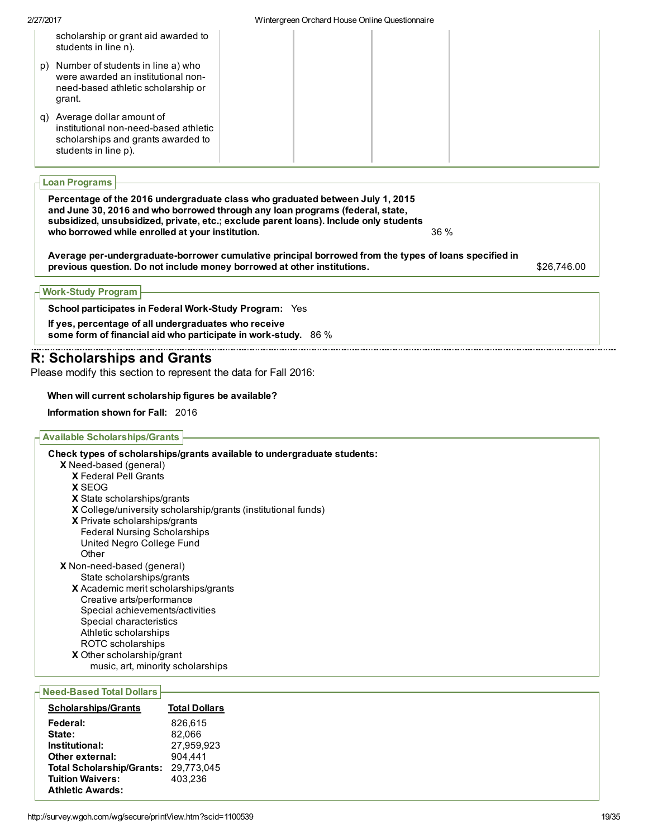# Loan Programs

Percentage of the 2016 undergraduate class who graduated between July 1, 2015 and June 30, 2016 and who borrowed through any loan programs (federal, state, subsidized, unsubsidized, private, etc.; exclude parent loans). Include only students who borrowed while enrolled at your institution.  $36\%$ 

Average per-undergraduate-borrower cumulative principal borrowed from the types of loans specified in previous question. Do not include money borrowed at other institutions. **\$26,746.00** \$26,746.00

## **Work-Study Program**

School participates in Federal Work-Study Program: Yes

If yes, percentage of all undergraduates who receive some form of financial aid who participate in work-study.  $86\%$ 

# R: Scholarships and Grants

Please modify this section to represent the data for Fall 2016:

## When will current scholarship figures be available?

Information shown for Fall: 2016

## Available Scholarships/Grants

X Need-based (general) X Federal Pell Grants X SEOG X State scholarships/grants X College/university scholarship/grants (institutional funds) X Private scholarships/grants X Non-need-based (general) X Academic merit scholarships/grants X Other scholarship/grant Check types of scholarships/grants available to undergraduate students: Federal Nursing Scholarships United Negro College Fund **Other** State scholarships/grants Creative arts/performance Special achievements/activities Special characteristics Athletic scholarships ROTC scholarships music, art, minority scholarships

## **Need-Based Total Dollars**

| <b>Scholarships/Grants</b>       | <b>Total Dollars</b> |
|----------------------------------|----------------------|
| Federal:                         | 826.615              |
| State:                           | 82.066               |
| Institutional:                   | 27.959.923           |
| Other external:                  | 904,441              |
| <b>Total Scholarship/Grants:</b> | 29,773,045           |
| <b>Tuition Waivers:</b>          | 403.236              |
| <b>Athletic Awards:</b>          |                      |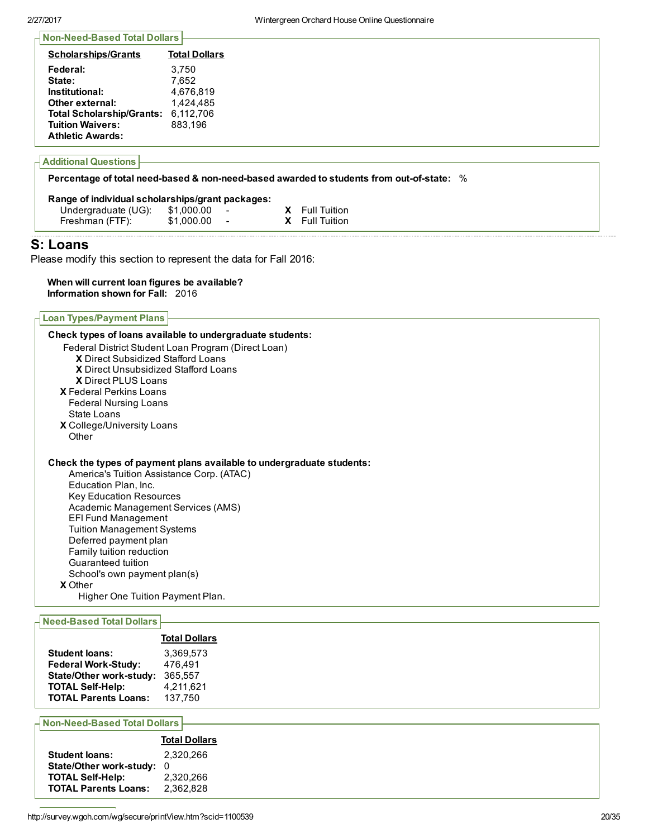| <b>Scholarships/Grants</b>       | <b>Total Dollars</b> |
|----------------------------------|----------------------|
| Federal:                         | 3.750                |
| State:                           | 7.652                |
| Institutional:                   | 4,676,819            |
| Other external:                  | 1,424,485            |
| <b>Total Scholarship/Grants:</b> | 6,112,706            |
| <b>Tuition Waivers:</b>          | 883,196              |
| <b>Athletic Awards:</b>          |                      |

### Percentage of total need-based & non-need-based awarded to students from out-of-state: %

| Range of individual scholarships/grant packages: |            |                          |  |              |  |
|--------------------------------------------------|------------|--------------------------|--|--------------|--|
| Undergraduate (UG):                              | \$1,000.00 | $\overline{\phantom{a}}$ |  | Full Tuition |  |
| Freshman (FTF):                                  | \$1,000.00 |                          |  | Full Tuition |  |
|                                                  |            |                          |  |              |  |

# S: Loans

Please modify this section to represent the data for Fall 2016:

Check types of loans available to undergraduate students:

## When will current loan figures be available? Information shown for Fall: 2016

Loan Types/Payment Plans

| Federal District Student Loan Program (Direct Loan)<br><b>X</b> Direct Subsidized Stafford Loans<br>X Direct Unsubsidized Stafford Loans |
|------------------------------------------------------------------------------------------------------------------------------------------|
| <b>X</b> Direct PLUS Loans<br><b>X</b> Federal Perkins Loans                                                                             |
| <b>Federal Nursing Loans</b><br>State Loans                                                                                              |
| <b>X</b> College/University Loans<br>Other                                                                                               |
|                                                                                                                                          |
| Check the types of payment plans available to undergraduate students:                                                                    |
| America's Tuition Assistance Corp. (ATAC)                                                                                                |
| Education Plan, Inc.                                                                                                                     |
| <b>Key Education Resources</b>                                                                                                           |
| Academic Management Services (AMS)                                                                                                       |
| <b>EFI Fund Management</b>                                                                                                               |
| <b>Tuition Management Systems</b>                                                                                                        |
| Deferred payment plan<br>Family tuition reduction                                                                                        |
| Guaranteed tuition                                                                                                                       |
| School's own payment plan(s)                                                                                                             |
| <b>X</b> Other                                                                                                                           |
| Higher One Tuition Payment Plan.                                                                                                         |
| <b>Need-Based Total Dollars</b>                                                                                                          |
|                                                                                                                                          |

|                                | <b>Total Dollars</b> |
|--------------------------------|----------------------|
| <b>Student loans:</b>          | 3.369.573            |
| <b>Federal Work-Study:</b>     | 476.491              |
| <b>State/Other work-study:</b> | 365.557              |
| <b>TOTAL Self-Help:</b>        | 4,211,621            |
| <b>TOTAL Parents Loans:</b>    | 137.750              |
|                                |                      |

**Non-Need-Based Total Dollars** 

|                             | <b>Total Dollars</b> |
|-----------------------------|----------------------|
| <b>Student loans:</b>       | 2.320.266            |
| State/Other work-study:     | 0                    |
| <b>TOTAL Self-Help:</b>     | 2.320.266            |
| <b>TOTAL Parents Loans:</b> | 2,362,828            |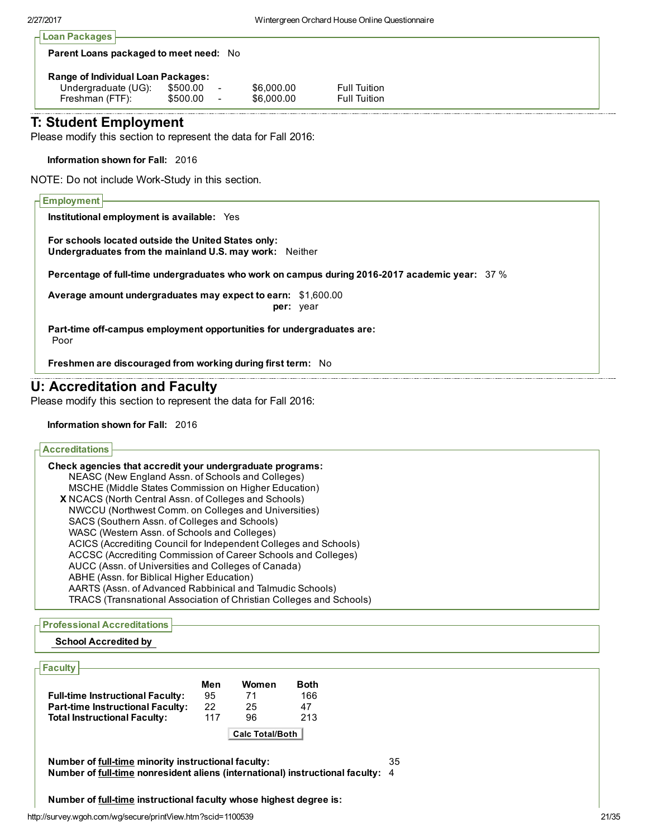| <b>Parent Loans packaged to meet need: No</b> |          |   |            |                     |  |
|-----------------------------------------------|----------|---|------------|---------------------|--|
| <b>Range of Individual Loan Packages:</b>     |          |   |            |                     |  |
| Undergraduate (UG):                           | \$500.00 | ٠ | \$6,000.00 | <b>Full Tuition</b> |  |
|                                               | \$500.00 |   | \$6,000.00 | <b>Full Tuition</b> |  |

# T: Student Employment

Please modify this section to represent the data for Fall 2016:

Information shown for Fall: 2016

NOTE: Do not include Work-Study in this section.

# **Employment** Institutional employment is available: Yes For schools located outside the United States only: Undergraduates from the mainland U.S. may work: Neither Percentage of full-time undergraduates who work on campus during 2016-2017 academic year: 37 % Average amount undergraduates may expect to earn: \$1,600.00 per: year Part-time off-campus employment opportunities for undergraduates are: Poor Freshmen are discouraged from working during first term: No

# U: Accreditation and Faculty

Please modify this section to represent the data for Fall 2016:

#### Information shown for Fall: 2016

| <b>Accreditations</b>                                                      |  |
|----------------------------------------------------------------------------|--|
|                                                                            |  |
| Check agencies that accredit your undergraduate programs:                  |  |
| NEASC (New England Assn. of Schools and Colleges)                          |  |
| MSCHE (Middle States Commission on Higher Education)                       |  |
| <b>X</b> NCACS (North Central Assn. of Colleges and Schools)               |  |
| NWCCU (Northwest Comm. on Colleges and Universities)                       |  |
| SACS (Southern Assn. of Colleges and Schools)                              |  |
| WASC (Western Assn. of Schools and Colleges)                               |  |
| ACICS (Accrediting Council for Independent Colleges and Schools)           |  |
| ACCSC (Accrediting Commission of Career Schools and Colleges)              |  |
| AUCC (Assn. of Universities and Colleges of Canada)                        |  |
| ABHE (Assn. for Biblical Higher Education)                                 |  |
| AARTS (Assn. of Advanced Rabbinical and Talmudic Schools)                  |  |
| <b>TRACS (Transnational Association of Christian Colleges and Schools)</b> |  |

#### Professional Accreditations

#### School Accredited by

## **Faculty**

|                                         | Men | Women                  | Both |
|-----------------------------------------|-----|------------------------|------|
| <b>Full-time Instructional Faculty:</b> | 95  | 71                     | 166  |
| <b>Part-time Instructional Faculty:</b> | 22  | 25                     | 47   |
| <b>Total Instructional Faculty:</b>     | 117 | 96                     | 213  |
|                                         |     | <b>Calc Total/Both</b> |      |

Number of full-time minority instructional faculty: 35 Number of full-time nonresident aliens (international) instructional faculty: 4

Number of full-time instructional faculty whose highest degree is: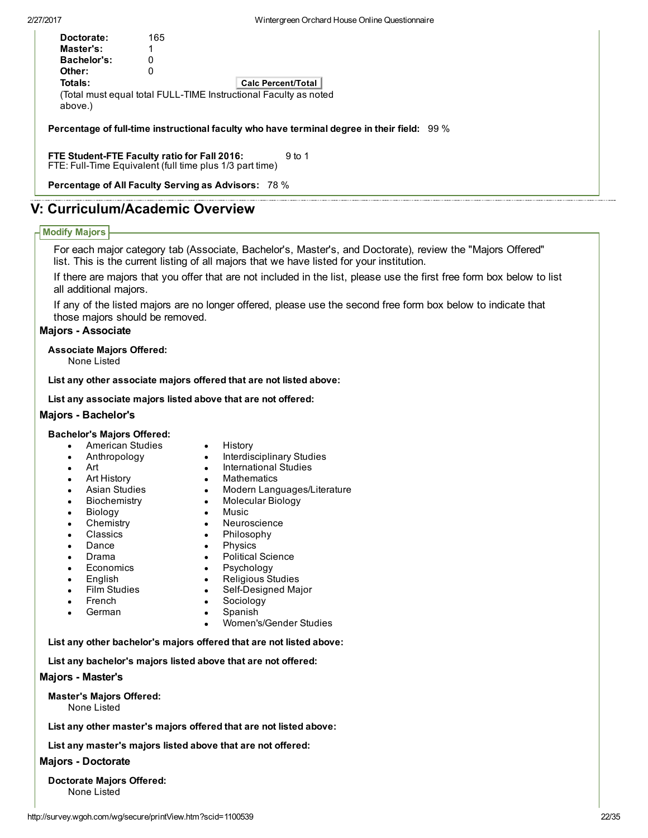| Doctorate:  | 165 |                                                                                                     |  |
|-------------|-----|-----------------------------------------------------------------------------------------------------|--|
| Master's:   |     |                                                                                                     |  |
| Bachelor's: | 0   |                                                                                                     |  |
| Other:      | 0   |                                                                                                     |  |
| Totals:     |     | <b>Calc Percent/Total</b>                                                                           |  |
| above.)     |     | (Total must equal total FULL-TIME Instructional Faculty as noted                                    |  |
|             |     | Percentage of full-time instructional faculty who have terminal degree in their field: $\,$ 99 $\%$ |  |

FTE Student-FTE Faculty ratio for Fall 2016: FTE: Full-Time Equivalent (full time plus 1/3 part time) 9 to 1

Percentage of All Faculty Serving as Advisors: 78 %

# V: Curriculum/Academic Overview

# Modify Majors

For each major category tab (Associate, Bachelor's, Master's, and Doctorate), review the "Majors Offered" list. This is the current listing of all majors that we have listed for your institution.

If there are majors that you offer that are not included in the list, please use the first free form box below to list all additional majors.

If any of the listed majors are no longer offered, please use the second free form box below to indicate that those majors should be removed.

# **Majors - Associate**

Associate Majors Offered:

None Listed

List any other associate majors offered that are not listed above:

List any associate majors listed above that are not offered:

## Majors - Bachelor's

## Bachelor's Majors Offered:

- American Studies
- Anthropology
- Art
- 
- Art History
- Asian Studies
- Biochemistry
- Biology
- **Chemistry**
- Classics
- **Dance**
- Drama
- Economics
- English
- Film Studies
- French
- German
- History
- Interdisciplinary Studies
- International Studies
- **Mathematics**
- Modern Languages/Literature  $\bullet$
- $\bullet$ Molecular Biology
- Music
- Neuroscience
- Philosophy  $\bullet$
- $\bullet$
- Political Science
- Psychology
- Religious Studies
- Self-Designed Major
- Sociology
	- Spanish
	- Women's/Gender Studies

List any other bachelor's majors offered that are not listed above:

List any bachelor's majors listed above that are not offered:

## Majors - Master's

Master's Majors Offered: None Listed

List any other master's majors offered that are not listed above:

List any master's majors listed above that are not offered:

# **Majors - Doctorate**

Doctorate Majors Offered: None Listed

- Physics
-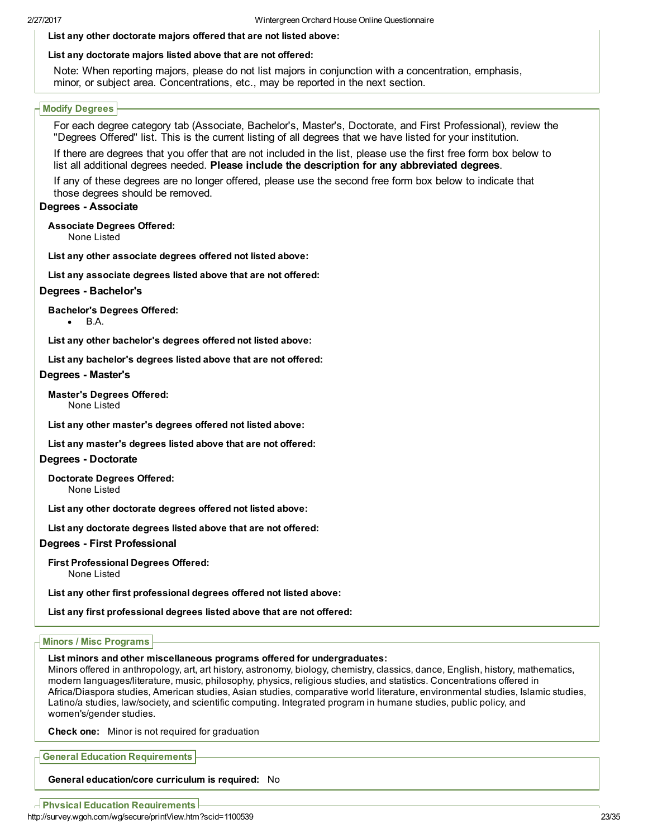List any other doctorate majors offered that are not listed above:

# List any doctorate majors listed above that are not offered:

Note: When reporting majors, please do not list majors in conjunction with a concentration, emphasis, minor, or subject area. Concentrations, etc., may be reported in the next section.

# Modify Degrees

For each degree category tab (Associate, Bachelor's, Master's, Doctorate, and First Professional), review the "Degrees Offered" list. This is the current listing of all degrees that we have listed for your institution.

If there are degrees that you offer that are not included in the list, please use the first free form box below to list all additional degrees needed. Please include the description for any abbreviated degrees.

If any of these degrees are no longer offered, please use the second free form box below to indicate that those degrees should be removed.

# Degrees - Associate

Associate Degrees Offered:

None Listed

List any other associate degrees offered not listed above:

List any associate degrees listed above that are not offered:

## Degrees - Bachelor's

Bachelor's Degrees Offered:

B.A.

List any other bachelor's degrees offered not listed above:

List any bachelor's degrees listed above that are not offered:

## Degrees - Master's

# Master's Degrees Offered:

None Listed

List any other master's degrees offered not listed above:

List any master's degrees listed above that are not offered:

# Degrees - Doctorate

Doctorate Degrees Offered: None Listed

List any other doctorate degrees offered not listed above:

List any doctorate degrees listed above that are not offered:

# Degrees First Professional

First Professional Degrees Offered:

None Listed

List any other first professional degrees offered not listed above:

List any first professional degrees listed above that are not offered:

## Minors / Misc Programs

List minors and other miscellaneous programs offered for undergraduates:

Minors offered in anthropology, art, art history, astronomy, biology, chemistry, classics, dance, English, history, mathematics, modern languages/literature, music, philosophy, physics, religious studies, and statistics. Concentrations offered in Africa/Diaspora studies, American studies, Asian studies, comparative world literature, environmental studies, Islamic studies, Latino/a studies, law/society, and scientific computing. Integrated program in humane studies, public policy, and women's/gender studies.

Check one: Minor is not required for graduation

General Education Requirements

General education/core curriculum is required: No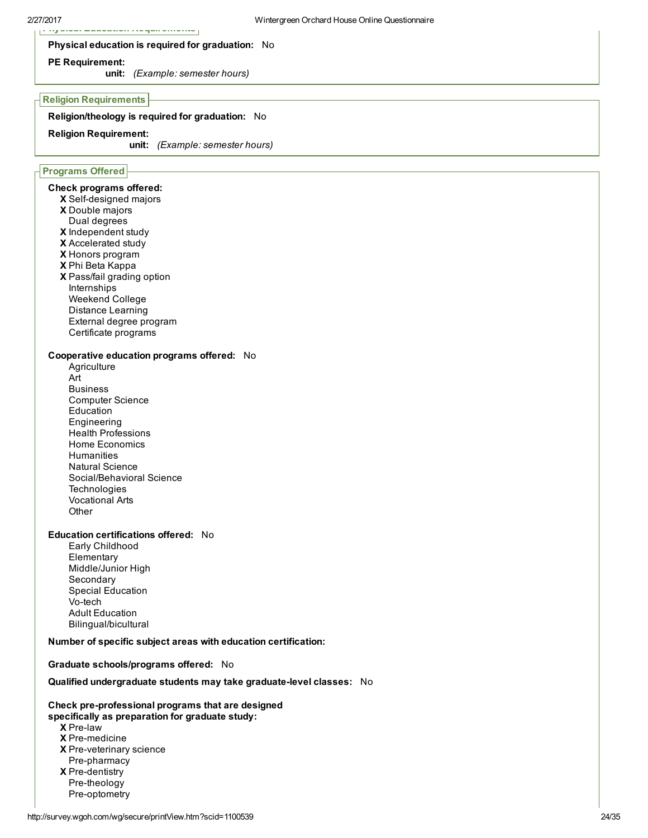#### Physical education is required for graduation: No

#### PE Requirement:

unit: (Example: semester hours)

#### Religion Requirements

#### Religion/theology is required for graduation: No

#### Religion Requirement:

unit: (Example: semester hours)

## Programs Offered

#### Check programs offered:

- X Self-designed majors
- X Double majors
- Dual degrees
- X Independent study
- X Accelerated study
- X Honors program
- X Phi Beta Kappa
- X Pass/fail grading option Internships Weekend College Distance Learning External degree program
- Certificate programs

# Cooperative education programs offered: No

**Agriculture** Art Business Computer Science Education Engineering Health Professions Home Economics **Humanities** Natural Science Social/Behavioral Science **Technologies** Vocational Arts **Other** 

#### Education certifications offered: No

Early Childhood **Elementary** Middle/Junior High Secondary Special Education Vo-tech Adult Education Bilingual/bicultural

#### Number of specific subject areas with education certification:

#### Graduate schools/programs offered: No

#### Qualified undergraduate students may take graduate-level classes: No

#### Check pre-professional programs that are designed

- specifically as preparation for graduate study:
	- X Prelaw
	- **X** Pre-medicine
	- X Pre-veterinary science
	- X Pre-dentistry Pre-pharmacy
	- Pre-theology
	- Pre-optometry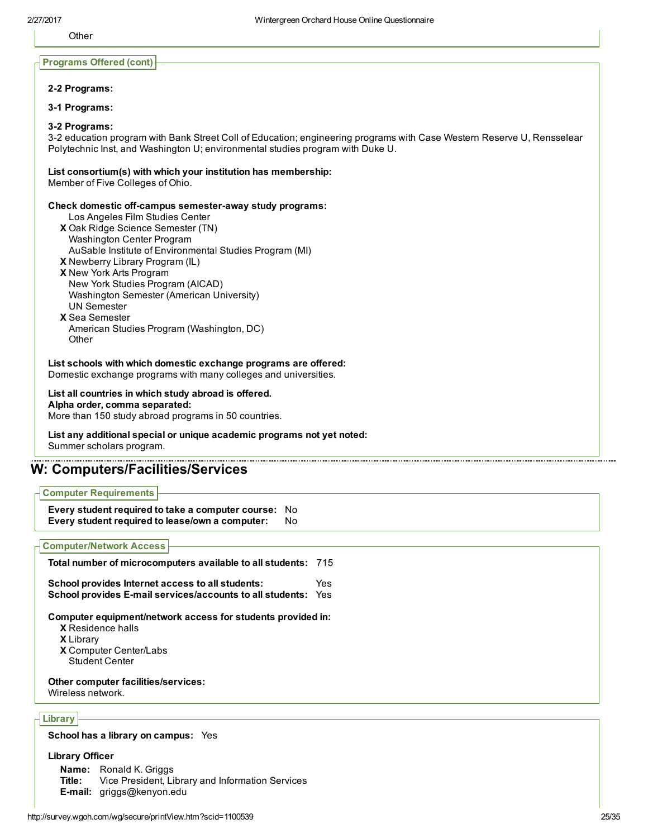**Other** 

#### Programs Offered (cont)

#### 22 Programs:

3-1 Programs:

#### 32 Programs:

32 education program with Bank Street Coll of Education; engineering programs with Case Western Reserve U, Rensselear Polytechnic Inst, and Washington U; environmental studies program with Duke U.

#### List consortium(s) with which your institution has membership:

Member of Five Colleges of Ohio.

#### Check domestic off-campus semester-away study programs:

Los Angeles Film Studies Center

- X Oak Ridge Science Semester (TN) Washington Center Program AuSable Institute of Environmental Studies Program (MI)
- X Newberry Library Program (IL)
- X New York Arts Program
	- New York Studies Program (AICAD)
	- Washington Semester (American University)
- UN Semester
- X Sea Semester
- American Studies Program (Washington, DC) **Other**

List schools with which domestic exchange programs are offered: Domestic exchange programs with many colleges and universities.

List all countries in which study abroad is offered. Alpha order, comma separated: More than 150 study abroad programs in 50 countries.

List any additional special or unique academic programs not yet noted: Summer scholars program.

# W: Computers/Facilities/Services

Computer Requirements

Every student required to take a computer course: No Every student required to lease/own a computer: No

#### Computer/Network Access

X Residence halls X Library X Computer Center/Labs Total number of microcomputers available to all students: 715 School provides Internet access to all students: Yes School provides E-mail services/accounts to all students: Yes Computer equipment/network access for students provided in: Student Center Other computer facilities/services: Wireless network.

# Library

School has a library on campus: Yes

#### Library Officer

Name: Ronald K. Griggs Title: Vice President, Library and Information Services Email: griggs@kenyon.edu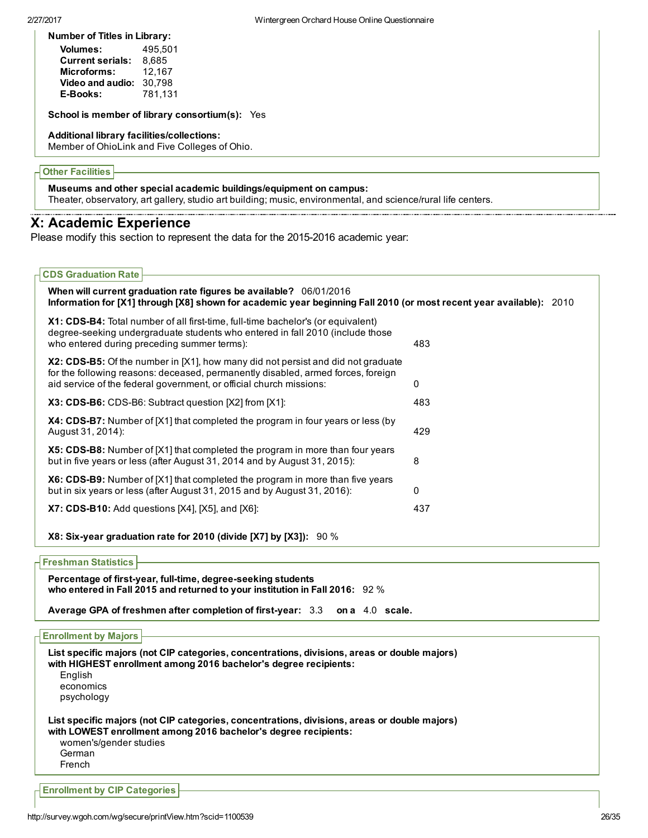Number of Titles in Library:

| <b>Volumes:</b>         | 495.501 |
|-------------------------|---------|
| <b>Current serials:</b> | 8.685   |
| Microforms:             | 12.167  |
| Video and audio:        | 30.798  |
| E-Books:                | 781.131 |

School is member of library consortium(s): Yes

#### Additional library facilities/collections:

Member of OhioLink and Five Colleges of Ohio.

## Other Facilities

Museums and other special academic buildings/equipment on campus:

Theater, observatory, art gallery, studio art building; music, environmental, and science/rural life centers.

# X: Academic Experience

Please modify this section to represent the data for the 2015-2016 academic year:

| <b>CDS Graduation Rate</b>                                                                                                                                                                                                                  |     |
|---------------------------------------------------------------------------------------------------------------------------------------------------------------------------------------------------------------------------------------------|-----|
| When will current graduation rate figures be available? 06/01/2016<br>Information for [X1] through [X8] shown for academic year beginning Fall 2010 (or most recent year available): 2010                                                   |     |
| X1: CDS-B4: Total number of all first-time, full-time bachelor's (or equivalent)<br>degree-seeking undergraduate students who entered in fall 2010 (include those<br>who entered during preceding summer terms):                            | 483 |
| X2: CDS-B5: Of the number in [X1], how many did not persist and did not graduate<br>for the following reasons: deceased, permanently disabled, armed forces, foreign<br>aid service of the federal government, or official church missions: | 0   |
| X3: CDS-B6: CDS-B6: Subtract question [X2] from [X1]:                                                                                                                                                                                       | 483 |
| <b>X4: CDS-B7:</b> Number of [X1] that completed the program in four years or less (by<br>August 31, 2014):                                                                                                                                 | 429 |
| X5: CDS-B8: Number of [X1] that completed the program in more than four years<br>but in five years or less (after August 31, 2014 and by August 31, 2015):                                                                                  | 8   |
| X6: CDS-B9: Number of [X1] that completed the program in more than five years<br>but in six years or less (after August 31, 2015 and by August 31, 2016):                                                                                   | 0   |
| $X7:$ CDS-B10: Add questions $[X4]$ , $[X5]$ , and $[X6]$ :                                                                                                                                                                                 | 437 |
| X8: Six-year graduation rate for 2010 (divide [X7] by [X3]): $90\%$                                                                                                                                                                         |     |

## Freshman Statistics

Percentage of first-year, full-time, degree-seeking students who entered in Fall 2015 and returned to your institution in Fall 2016: 92 %

Average GPA of freshmen after completion of first-year: 3.3 on a 4.0 scale.

| <b>Enrollment by Majors</b>                |                                                                                                                                                                  |  |
|--------------------------------------------|------------------------------------------------------------------------------------------------------------------------------------------------------------------|--|
| English<br>economics<br>psychology         | List specific majors (not CIP categories, concentrations, divisions, areas or double majors)<br>with HIGHEST enrollment among 2016 bachelor's degree recipients: |  |
| women's/gender studies<br>German<br>French | List specific majors (not CIP categories, concentrations, divisions, areas or double majors)<br>with LOWEST enrollment among 2016 bachelor's degree recipients:  |  |
| <b>Enrollment by CIP Categories</b>        |                                                                                                                                                                  |  |
|                                            |                                                                                                                                                                  |  |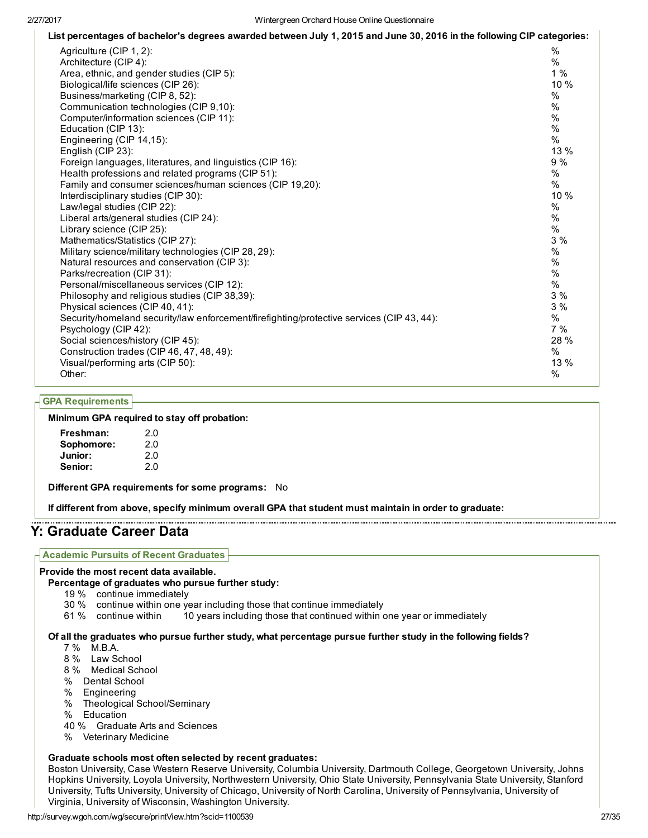| List percentages of bachelor's degrees awarded between July 1, 2015 and June 30, 2016 in the following CIP categories: |      |
|------------------------------------------------------------------------------------------------------------------------|------|
| Agriculture (CIP 1, 2):                                                                                                | $\%$ |
| Architecture (CIP 4):                                                                                                  | $\%$ |
| Area, ethnic, and gender studies (CIP 5):                                                                              | 1%   |
| Biological/life sciences (CIP 26):                                                                                     | 10 % |
| Business/marketing (CIP 8, 52):                                                                                        | %    |
| Communication technologies (CIP 9,10):                                                                                 | $\%$ |
| Computer/information sciences (CIP 11):                                                                                | $\%$ |
| Education (CIP 13):                                                                                                    | $\%$ |
| Engineering (CIP 14,15):                                                                                               | $\%$ |
| English (CIP 23):                                                                                                      | 13 % |
| Foreign languages, literatures, and linguistics (CIP 16):                                                              | 9%   |
| Health professions and related programs (CIP 51):                                                                      | $\%$ |
| Family and consumer sciences/human sciences (CIP 19,20):                                                               | $\%$ |
| Interdisciplinary studies (CIP 30):                                                                                    | 10 % |
| Law/legal studies (CIP 22):                                                                                            | %    |
| Liberal arts/general studies (CIP 24):                                                                                 | $\%$ |
| Library science (CIP 25):                                                                                              | $\%$ |
| Mathematics/Statistics (CIP 27):                                                                                       | 3 %  |
| Military science/military technologies (CIP 28, 29):                                                                   | $\%$ |
| Natural resources and conservation (CIP 3):                                                                            | $\%$ |
| Parks/recreation (CIP 31):                                                                                             | $\%$ |
| Personal/miscellaneous services (CIP 12):                                                                              | $\%$ |
| Philosophy and religious studies (CIP 38,39):                                                                          | 3%   |
| Physical sciences (CIP 40, 41):                                                                                        | 3%   |
| Security/homeland security/law enforcement/firefighting/protective services (CIP 43, 44):                              | %    |
| Psychology (CIP 42):                                                                                                   | 7 %  |
| Social sciences/history (CIP 45):                                                                                      | 28 % |
| Construction trades (CIP 46, 47, 48, 49):                                                                              | %    |
| Visual/performing arts (CIP 50):                                                                                       | 13 % |
| Other:                                                                                                                 | %    |

# GPA Requirements

#### Minimum GPA required to stay off probation:

| Freshman:  | 2.0 |
|------------|-----|
| Sophomore: | 2.0 |
| Junior:    | 20  |
| Senior:    | 20  |

Different GPA requirements for some programs: No

If different from above, specify minimum overall GPA that student must maintain in order to graduate:

# Y: Graduate Career Data

#### Academic Pursuits of Recent Graduates

#### Provide the most recent data available.

#### Percentage of graduates who pursue further study:

- 19 % continue immediately
- 30 % continue within one year including those that continue immediately
- 61 % continue within 10 years including those that continued within one year or immediately

#### Of all the graduates who pursue further study, what percentage pursue further study in the following fields?

- 7 % M.B.A.
- 8 % Law School
- 8 % Medical School
- % Dental School
- % Engineering
- % Theological School/Seminary
- % Education
- 40 % Graduate Arts and Sciences
- % Veterinary Medicine

#### Graduate schools most often selected by recent graduates:

Boston University, Case Western Reserve University, Columbia University, Dartmouth College, Georgetown University, Johns Hopkins University, Loyola University, Northwestern University, Ohio State University, Pennsylvania State University, Stanford University, Tufts University, University of Chicago, University of North Carolina, University of Pennsylvania, University of Virginia, University of Wisconsin, Washington University.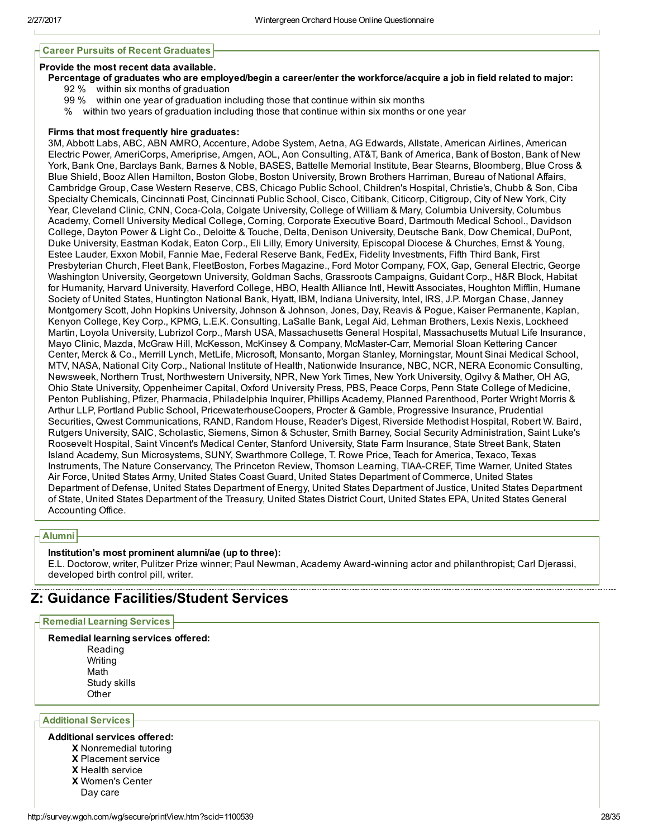#### Career Pursuits of Recent Graduates

#### Provide the most recent data available.

- Percentage of graduates who are employed/begin a career/enter the workforce/acquire a job in field related to major:
	- 92 % within six months of graduation
		- 99 % within one year of graduation including those that continue within six months
	- % within two years of graduation including those that continue within six months or one year

#### Firms that most frequently hire graduates:

3M, Abbott Labs, ABC, ABN AMRO, Accenture, Adobe System, Aetna, AG Edwards, Allstate, American Airlines, American Electric Power, AmeriCorps, Ameriprise, Amgen, AOL, Aon Consulting, AT&T, Bank of America, Bank of Boston, Bank of New York, Bank One, Barclays Bank, Barnes & Noble, BASES, Battelle Memorial Institute, Bear Stearns, Bloomberg, Blue Cross & Blue Shield, Booz Allen Hamilton, Boston Globe, Boston University, Brown Brothers Harriman, Bureau of National Affairs, Cambridge Group, Case Western Reserve, CBS, Chicago Public School, Children's Hospital, Christie's, Chubb & Son, Ciba Specialty Chemicals, Cincinnati Post, Cincinnati Public School, Cisco, Citibank, Citicorp, Citigroup, City of New York, City Year, Cleveland Clinic, CNN, Coca-Cola, Colgate University, College of William & Mary, Columbia University, Columbus Academy, Cornell University Medical College, Corning, Corporate Executive Board, Dartmouth Medical School., Davidson College, Dayton Power & Light Co., Deloitte & Touche, Delta, Denison University, Deutsche Bank, Dow Chemical, DuPont, Duke University, Eastman Kodak, Eaton Corp., Eli Lilly, Emory University, Episcopal Diocese & Churches, Ernst & Young, Estee Lauder, Exxon Mobil, Fannie Mae, Federal Reserve Bank, FedEx, Fidelity Investments, Fifth Third Bank, First Presbyterian Church, Fleet Bank, FleetBoston, Forbes Magazine., Ford Motor Company, FOX, Gap, General Electric, George Washington University, Georgetown University, Goldman Sachs, Grassroots Campaigns, Guidant Corp., H&R Block, Habitat for Humanity, Harvard University, Haverford College, HBO, Health Alliance Intl, Hewitt Associates, Houghton Mifflin, Humane Society of United States, Huntington National Bank, Hyatt, IBM, Indiana University, Intel, IRS, J.P. Morgan Chase, Janney Montgomery Scott, John Hopkins University, Johnson & Johnson, Jones, Day, Reavis & Pogue, Kaiser Permanente, Kaplan, Kenyon College, Key Corp., KPMG, L.E.K. Consulting, LaSalle Bank, Legal Aid, Lehman Brothers, Lexis Nexis, Lockheed Martin, Loyola University, Lubrizol Corp., Marsh USA, Massachusetts General Hospital, Massachusetts Mutual Life Insurance, Mayo Clinic, Mazda, McGraw Hill, McKesson, McKinsey & Company, McMasterCarr, Memorial Sloan Kettering Cancer Center, Merck & Co., Merrill Lynch, MetLife, Microsoft, Monsanto, Morgan Stanley, Morningstar, Mount Sinai Medical School, MTV, NASA, National City Corp., National Institute of Health, Nationwide Insurance, NBC, NCR, NERA Economic Consulting, Newsweek, Northern Trust, Northwestern University, NPR, New York Times, New York University, Ogilvy & Mather, OH AG, Ohio State University, Oppenheimer Capital, Oxford University Press, PBS, Peace Corps, Penn State College of Medicine, Penton Publishing, Pfizer, Pharmacia, Philadelphia Inquirer, Phillips Academy, Planned Parenthood, Porter Wright Morris & Arthur LLP, Portland Public School, PricewaterhouseCoopers, Procter & Gamble, Progressive Insurance, Prudential Securities, Qwest Communications, RAND, Random House, Reader's Digest, Riverside Methodist Hospital, Robert W. Baird, Rutgers University, SAIC, Scholastic, Siemens, Simon & Schuster, Smith Barney, Social Security Administration, Saint Luke's Roosevelt Hospital, Saint Vincent's Medical Center, Stanford University, State Farm Insurance, State Street Bank, Staten Island Academy, Sun Microsystems, SUNY, Swarthmore College, T. Rowe Price, Teach for America, Texaco, Texas Instruments, The Nature Conservancy, The Princeton Review, Thomson Learning, TIAA-CREF, Time Warner, United States Air Force, United States Army, United States Coast Guard, United States Department of Commerce, United States Department of Defense, United States Department of Energy, United States Department of Justice, United States Department of State, United States Department of the Treasury, United States District Court, United States EPA, United States General Accounting Office.

#### Alumni

## Institution's most prominent alumni/ae (up to three):

E.L. Doctorow, writer, Pulitzer Prize winner; Paul Newman, Academy Award-winning actor and philanthropist; Carl Djerassi, developed birth control pill, writer.

# Z: Guidance Facilities/Student Services

#### Remedial Learning Services

Remedial learning services offered: Reading Writing Math Study skills **Other** 

Additional Services

#### Additional services offered:

- X Nonremedial tutoring
- X Placement service
- X Health service
- X Women's Center
- Day care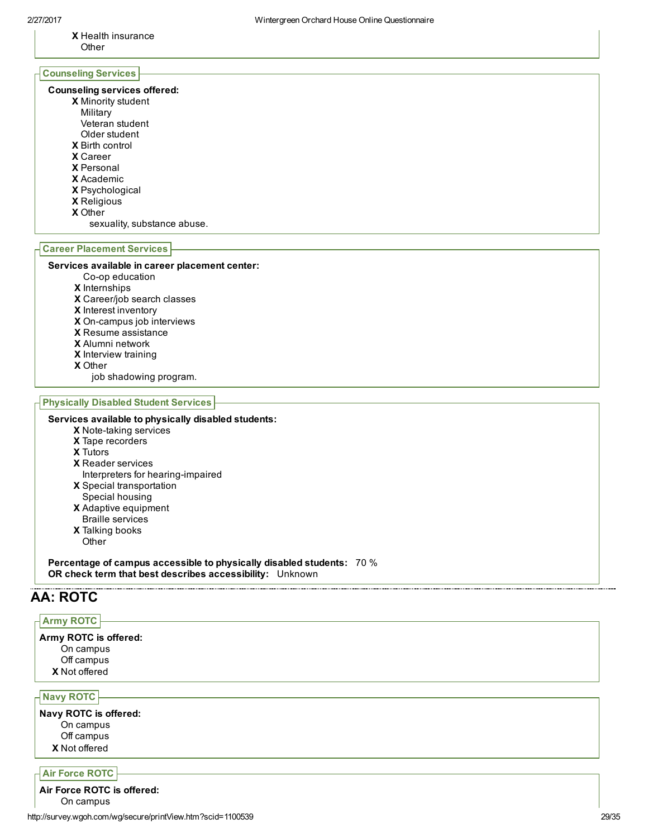X Health insurance **Other** 

# Counseling Services

#### Counseling services offered:

- X Minority student
- Military
- Veteran student
- Older student
- X Birth control
- X Career
- X Personal
- X Academic
- X Psychological
- X Religious
- 
- X Other
	- sexuality, substance abuse.

#### Career Placement Services

#### Services available in career placement center:

- Co-op education
- X Internships
- X Career/job search classes
- X Interest inventory
- X On-campus job interviews
- X Resume assistance
- X Alumni network
- X Interview training
- X Other
	- job shadowing program.

#### Physically Disabled Student Services

#### Services available to physically disabled students:

- X Note-taking services
- X Tape recorders
- X Tutors
- X Reader services
- X Special transportation Interpreters for hearing-impaired
- Special housing
- X Adaptive equipment Braille services
- X Talking books
- **Other**

Percentage of campus accessible to physically disabled students: 70 % OR check term that best describes accessibility: Unknown

# AA: ROTC

# Army ROTC

X Not offered Army ROTC is offered: On campus Off campus

Navy ROTC

X Not offered Navy ROTC is offered: On campus Off campus

## Air Force ROTC

http://survey.wgoh.com/wg/secure/printView.htm?scid=1100539 29/35 Air Force ROTC is offered: On campus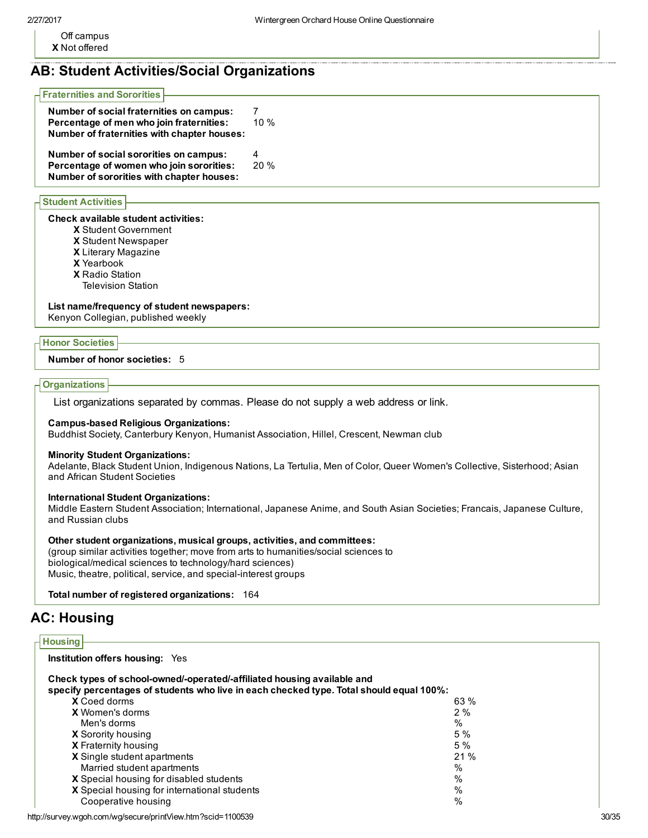X Not offered Off campus

# AB: Student Activities/Social Organizations

#### Fraternities and Sororities

| Number of social fraternities on campus:<br>Percentage of men who join fraternities:<br>Number of fraternities with chapter houses: | 10%      |
|-------------------------------------------------------------------------------------------------------------------------------------|----------|
| Number of social sororities on campus:<br>Percentage of women who join sororities:<br>Number of sororities with chapter houses:     | 4<br>20% |

#### Student Activities

### Check available student activities:

- X Student Government
- X Student Newspaper
- X Literary Magazine
- X Yearbook
- X Radio Station
- Television Station

## List name/frequency of student newspapers:

Kenyon Collegian, published weekly

## Honor Societies

#### Number of honor societies: 5

## **Organizations**

List organizations separated by commas. Please do not supply a web address or link.

## Campus-based Religious Organizations:

Buddhist Society, Canterbury Kenyon, Humanist Association, Hillel, Crescent, Newman club

## Minority Student Organizations:

Adelante, Black Student Union, Indigenous Nations, La Tertulia, Men of Color, Queer Women's Collective, Sisterhood; Asian and African Student Societies

## International Student Organizations:

Middle Eastern Student Association; International, Japanese Anime, and South Asian Societies; Francais, Japanese Culture, and Russian clubs

## Other student organizations, musical groups, activities, and committees:

(group similar activities together; move from arts to humanities/social sciences to biological/medical sciences to technology/hard sciences) Music, theatre, political, service, and special-interest groups

Total number of registered organizations: 164

# AC: Housing

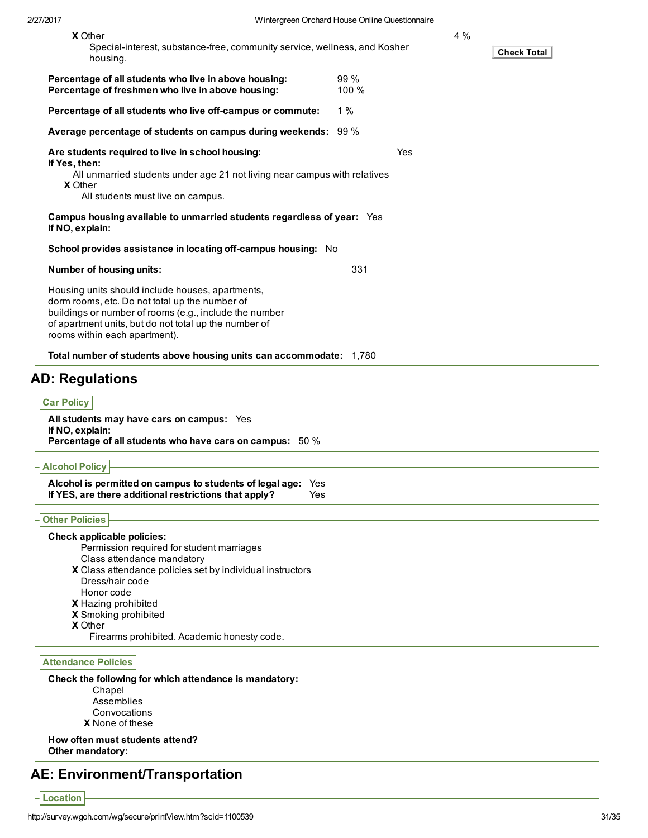| <b>X</b> Other                                                                                                                                                                                                                                         |              | 4% |                    |
|--------------------------------------------------------------------------------------------------------------------------------------------------------------------------------------------------------------------------------------------------------|--------------|----|--------------------|
| Special-interest, substance-free, community service, wellness, and Kosher<br>housing.                                                                                                                                                                  |              |    | <b>Check Total</b> |
| Percentage of all students who live in above housing:<br>Percentage of freshmen who live in above housing:                                                                                                                                             | 99%<br>100 % |    |                    |
| Percentage of all students who live off-campus or commute:                                                                                                                                                                                             | 1%           |    |                    |
| Average percentage of students on campus during weekends: 99 %                                                                                                                                                                                         |              |    |                    |
| Are students required to live in school housing:                                                                                                                                                                                                       | Yes          |    |                    |
| If Yes, then:<br>All unmarried students under age 21 not living near campus with relatives<br><b>X</b> Other<br>All students must live on campus.                                                                                                      |              |    |                    |
| Campus housing available to unmarried students regardless of year: Yes<br>If NO, explain:                                                                                                                                                              |              |    |                    |
| School provides assistance in locating off-campus housing: No                                                                                                                                                                                          |              |    |                    |
| Number of housing units:                                                                                                                                                                                                                               | 331          |    |                    |
| Housing units should include houses, apartments,<br>dorm rooms, etc. Do not total up the number of<br>buildings or number of rooms (e.g., include the number<br>of apartment units, but do not total up the number of<br>rooms within each apartment). |              |    |                    |
| Total number of students above housing units can accommodate: 1,780                                                                                                                                                                                    |              |    |                    |
| D <sup>.</sup> Ragulatione                                                                                                                                                                                                                             |              |    |                    |

# AD: Regulations

# **Car Policy**

All students may have cars on campus: Yes If NO, explain: Percentage of all students who have cars on campus: 50 %

## Alcohol Policy

| Alcohol is permitted on campus to students of legal age: Yes |      |
|--------------------------------------------------------------|------|
| If YES, are there additional restrictions that apply?        | Yes. |

## Other Policies

## Check applicable policies:

Permission required for student marriages Class attendance mandatory

X Class attendance policies set by individual instructors Dress/hair code Honor code

- X Hazing prohibited
- X Smoking prohibited
- X Other
	- Firearms prohibited. Academic honesty code.

# Attendance Policies

Check the following for which attendance is mandatory: Chapel Assemblies Convocations

X None of these

How often must students attend? Other mandatory:

# AE: Environment/Transportation

 $\overline{\Gamma}$  Location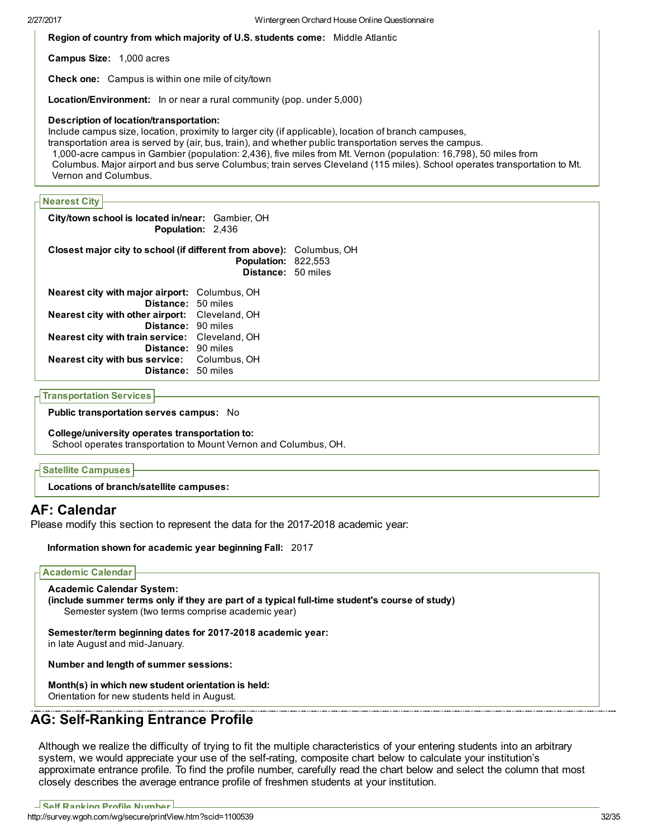Region of country from which majority of U.S. students come: Middle Atlantic

Campus Size: 1,000 acres

Check one: Campus is within one mile of city/town

Location/Environment: In or near a rural community (pop. under 5,000)

#### Description of location/transportation:

Include campus size, location, proximity to larger city (if applicable), location of branch campuses, transportation area is served by (air, bus, train), and whether public transportation serves the campus. 1,000-acre campus in Gambier (population: 2,436), five miles from Mt. Vernon (population: 16,798), 50 miles from Columbus. Major airport and bus serve Columbus; train serves Cleveland (115 miles). School operates transportation to Mt. Vernon and Columbus.

## Nearest City

City/town school is located in/near: Gambier, OH Population: 2,436

Closest major city to school (if different from above): Columbus, OH Population: 822,553 Distance: 50 miles Nearest city with major airport: Columbus, OH

| <b>Distance: 50 miles</b>                             |  |
|-------------------------------------------------------|--|
| <b>Nearest city with other airport:</b> Cleveland, OH |  |
| Distance: 90 miles                                    |  |
| Nearest city with train service: Cleveland, OH        |  |
| Distance: 90 miles                                    |  |
| <b>Nearest city with bus service:</b> Columbus, OH    |  |
| <b>Distance: 50 miles</b>                             |  |

#### Transportation Services

Public transportation serves campus: No

#### College/university operates transportation to:

School operates transportation to Mount Vernon and Columbus, OH.

## Satellite Campuses

Locations of branch/satellite campuses:

# AF: Calendar

Please modify this section to represent the data for the 2017-2018 academic year:

## Information shown for academic year beginning Fall: 2017

#### Academic Calendar

Academic Calendar System: (include summer terms only if they are part of a typical full-time student's course of study) Semester system (two terms comprise academic year)

Semester/term beginning dates for 2017-2018 academic year: in late August and mid-January.

Number and length of summer sessions:

Month(s) in which new student orientation is held: Orientation for new students held in August.

# AG: Self-Ranking Entrance Profile

Although we realize the difficulty of trying to fit the multiple characteristics of your entering students into an arbitrary system, we would appreciate your use of the self-rating, composite chart below to calculate your institution's approximate entrance profile. To find the profile number, carefully read the chart below and select the column that most closely describes the average entrance profile of freshmen students at your institution.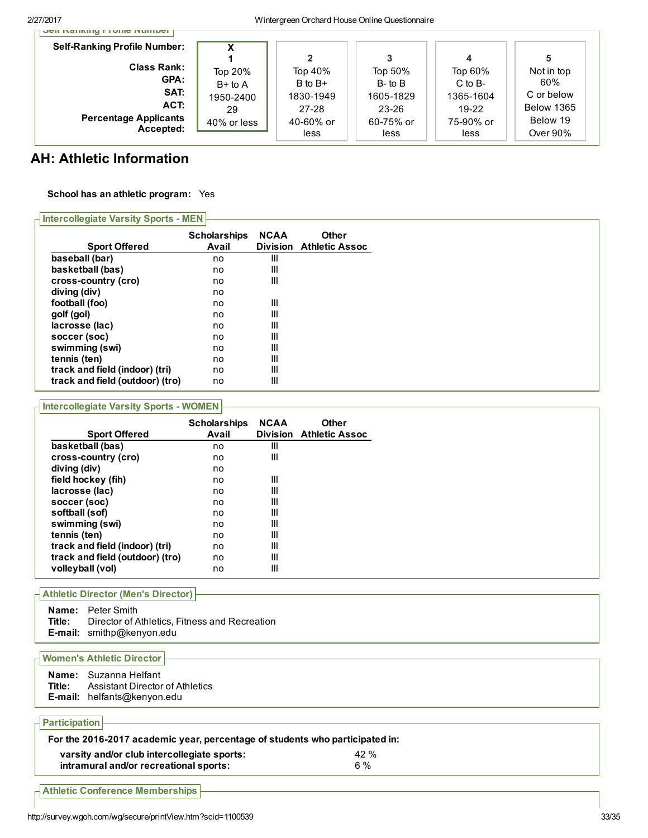2/27/2017 Wintergreen Orchard House Online Questionnaire

| <b>Self-Ranking Profile Number:</b> |             |           |              |             |            |
|-------------------------------------|-------------|-----------|--------------|-------------|------------|
|                                     |             |           |              | 4           | 5          |
| <b>Class Rank:</b>                  | Top 20%     | Top 40%   | Top 50%      | Top 60%     | Not in top |
| GPA:                                | $B+$ to A   | B to B+   | $B$ - to $B$ | $C$ to $B-$ | 60%        |
| SAT:                                | 1950-2400   | 1830-1949 | 1605-1829    | 1365-1604   | C or below |
| ACT:                                | 29          | 27-28     | 23-26        | $19-22$     | Below 1365 |
| <b>Percentage Applicants</b>        | 40% or less | 40-60% or | 60-75% or    | 75-90% or   | Below 19   |
| Accepted:                           |             | less      | less         | less        | Over 90%   |

# AH: Athletic Information

## School has an athletic program: Yes

## $\overline{\Pi}$ Intercollegiate Varsity Sports - MEN

|                                 |                              |                                | <b>Other</b>          |
|---------------------------------|------------------------------|--------------------------------|-----------------------|
| <b>Sport Offered</b>            | <b>Scholarships</b><br>Avail | <b>NCAA</b><br><b>Division</b> | <b>Athletic Assoc</b> |
| baseball (bar)                  | no                           | Ш                              |                       |
| basketball (bas)                | no                           | Ш                              |                       |
| cross-country (cro)             | no                           | III                            |                       |
| diving (div)                    | no                           |                                |                       |
| football (foo)                  | no                           | III                            |                       |
| golf (gol)                      | no                           | III                            |                       |
| lacrosse (lac)                  | no                           | III                            |                       |
| soccer (soc)                    | no                           | Ш                              |                       |
| swimming (swi)                  | no                           | III                            |                       |
| tennis (ten)                    | no                           | III                            |                       |
| track and field (indoor) (tri)  | no                           | III                            |                       |
| track and field (outdoor) (tro) | no                           | III                            |                       |

# **Intercollegiate Varsity Sports - WOMEN**

|                                 | <b>Scholarships</b><br>Avail | <b>NCAA</b><br><b>Division</b> | <b>Other</b><br><b>Athletic Assoc</b> |
|---------------------------------|------------------------------|--------------------------------|---------------------------------------|
| <b>Sport Offered</b>            |                              |                                |                                       |
| basketball (bas)                | no                           | Ш                              |                                       |
| cross-country (cro)             | no                           | Ш                              |                                       |
| diving (div)                    | no                           |                                |                                       |
| field hockey (fih)              | no                           | III                            |                                       |
| lacrosse (lac)                  | no                           | Ш                              |                                       |
| soccer (soc)                    | no                           | Ш                              |                                       |
| softball (sof)                  | no                           | Ш                              |                                       |
| swimming (swi)                  | no                           | Ш                              |                                       |
| tennis (ten)                    | no                           | III                            |                                       |
| track and field (indoor) (tri)  | no                           | Ш                              |                                       |
| track and field (outdoor) (tro) | no                           | Ш                              |                                       |
| volleyball (vol)                | no                           | Ш                              |                                       |

# Athletic Director (Men's Director)

|        | <b>Name:</b> Peter Smith                                                          |
|--------|-----------------------------------------------------------------------------------|
| Title: | Director of Athletics, Fitness and Recreation<br><b>E-mail:</b> smithp@kenyon.edu |

# Women's Athletic Director

|        | Name: Suzanna Helfant           |
|--------|---------------------------------|
| Title: | Assistant Director of Athletics |
|        | E-mail: helfants@kenyon.edu     |

# **Participation**

| varsity and/or club intercollegiate sports: | 42 % |
|---------------------------------------------|------|
| intramural and/or recreational sports:      | .6 % |
|                                             |      |

Athletic Conference Memberships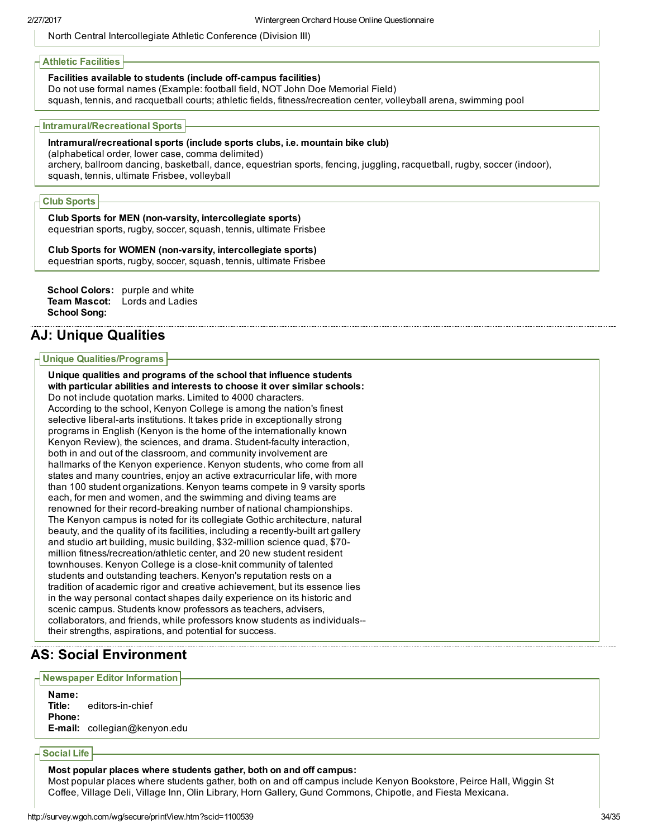North Central Intercollegiate Athletic Conference (Division III)

## Athletic Facilities

## Facilities available to students (include off-campus facilities)

Do not use formal names (Example: football field, NOT John Doe Memorial Field)

squash, tennis, and racquetball courts; athletic fields, fitness/recreation center, volleyball arena, swimming pool

#### Intramural/Recreational Sports

# Intramural/recreational sports (include sports clubs, i.e. mountain bike club)

(alphabetical order, lower case, comma delimited)

archery, ballroom dancing, basketball, dance, equestrian sports, fencing, juggling, racquetball, rugby, soccer (indoor), squash, tennis, ultimate Frisbee, volleyball

## Club Sports

Club Sports for MEN (non-varsity, intercollegiate sports) equestrian sports, rugby, soccer, squash, tennis, ultimate Frisbee

#### Club Sports for WOMEN (non-varsity, intercollegiate sports)

equestrian sports, rugby, soccer, squash, tennis, ultimate Frisbee

```
School Colors: purple and white
Team Mascot: Lords and Ladies
School Song:
```
# AJ: Unique Qualities

#### Unique Qualities/Programs

Unique qualities and programs of the school that influence students with particular abilities and interests to choose it over similar schools: Do not include quotation marks. Limited to 4000 characters. According to the school, Kenyon College is among the nation's finest selective liberal-arts institutions. It takes pride in exceptionally strong programs in English (Kenyon is the home of the internationally known Kenyon Review), the sciences, and drama. Student-faculty interaction, both in and out of the classroom, and community involvement are hallmarks of the Kenyon experience. Kenyon students, who come from all states and many countries, enjoy an active extracurricular life, with more than 100 student organizations. Kenyon teams compete in 9 varsity sports each, for men and women, and the swimming and diving teams are renowned for their record-breaking number of national championships. The Kenyon campus is noted for its collegiate Gothic architecture, natural beauty, and the quality of its facilities, including a recently-built art gallery and studio art building, music building, \$32-million science quad, \$70million fitness/recreation/athletic center, and 20 new student resident townhouses. Kenyon College is a close-knit community of talented students and outstanding teachers. Kenyon's reputation rests on a tradition of academic rigor and creative achievement, but its essence lies in the way personal contact shapes daily experience on its historic and scenic campus. Students know professors as teachers, advisers, collaborators, and friends, while professors know students as individuals their strengths, aspirations, and potential for success.

# AS: Social Environment

#### Newspaper Editor Information

Name: **Title:** editors-in-chief Phone: E-mail: collegian@kenyon.edu

## Social Life

Most popular places where students gather, both on and off campus:

Most popular places where students gather, both on and off campus include Kenyon Bookstore, Peirce Hall, Wiggin St Coffee, Village Deli, Village Inn, Olin Library, Horn Gallery, Gund Commons, Chipotle, and Fiesta Mexicana.